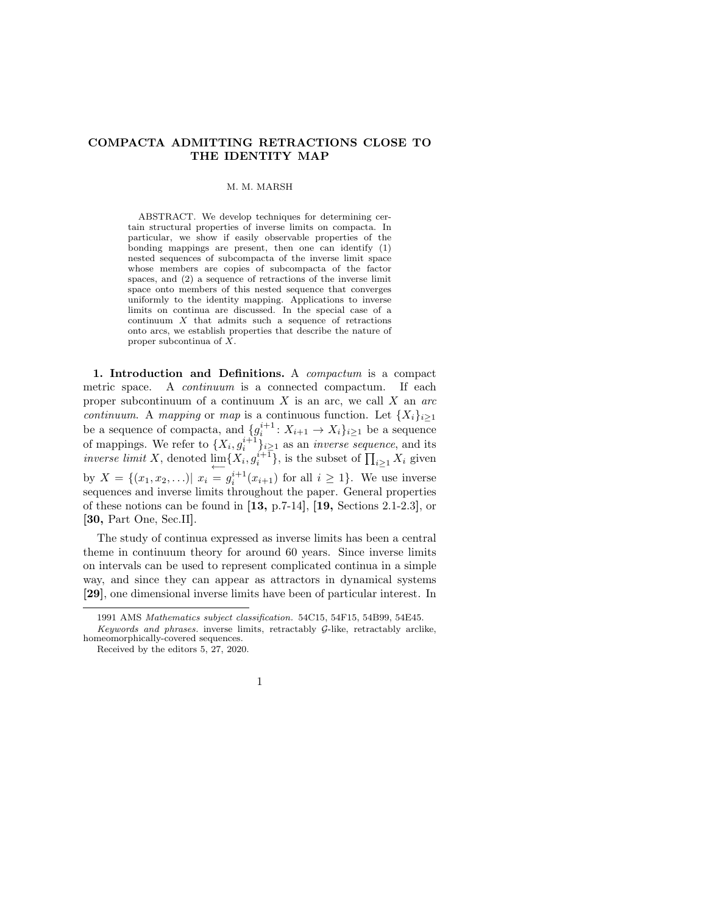## COMPACTA ADMITTING RETRACTIONS CLOSE TO THE IDENTITY MAP

M. M. MARSH

ABSTRACT. We develop techniques for determining certain structural properties of inverse limits on compacta. In particular, we show if easily observable properties of the bonding mappings are present, then one can identify (1) nested sequences of subcompacta of the inverse limit space whose members are copies of subcompacta of the factor spaces, and (2) a sequence of retractions of the inverse limit space onto members of this nested sequence that converges uniformly to the identity mapping. Applications to inverse limits on continua are discussed. In the special case of a continuum  $X$  that admits such a sequence of retractions onto arcs, we establish properties that describe the nature of proper subcontinua of X.

1. Introduction and Definitions. A compactum is a compact metric space. A continuum is a connected compactum. If each proper subcontinuum of a continuum  $X$  is an arc, we call  $X$  an arc *continuum.* A mapping or map is a continuous function. Let  $\{X_i\}_{i\geq 1}$ be a sequence of compacta, and  $\{g_i^{i+1}: X_{i+1} \to X_i\}_{i \geq 1}$  be a sequence of mappings. We refer to  $\{X_i, g_i^{i+1}\}_{i \geq 1}$  as an *inverse sequence*, and its *inverse limit* X, denoted  $\downarrow \leftarrow \{X_i, g_i^{i+1}\},$  is the subset of  $\prod_{i \geq 1} X_i$  given by  $X = \{(x_1, x_2, \ldots) | x_i = g_i^{i+1}(x_{i+1}) \text{ for all } i \geq 1\}.$  We use inverse sequences and inverse limits throughout the paper. General properties of these notions can be found in  $\left[13, p.7-14\right]$ ,  $\left[19, \text{Sections } 2.1-2.3\right]$ , or [30, Part One, Sec.II].

The study of continua expressed as inverse limits has been a central theme in continuum theory for around 60 years. Since inverse limits on intervals can be used to represent complicated continua in a simple way, and since they can appear as attractors in dynamical systems [29], one dimensional inverse limits have been of particular interest. In

<sup>1991</sup> AMS Mathematics subject classification. 54C15, 54F15, 54B99, 54E45. Keywords and phrases. inverse limits, retractably G-like, retractably arclike, homeomorphically-covered sequences.

Received by the editors 5, 27, 2020.

<sup>1</sup>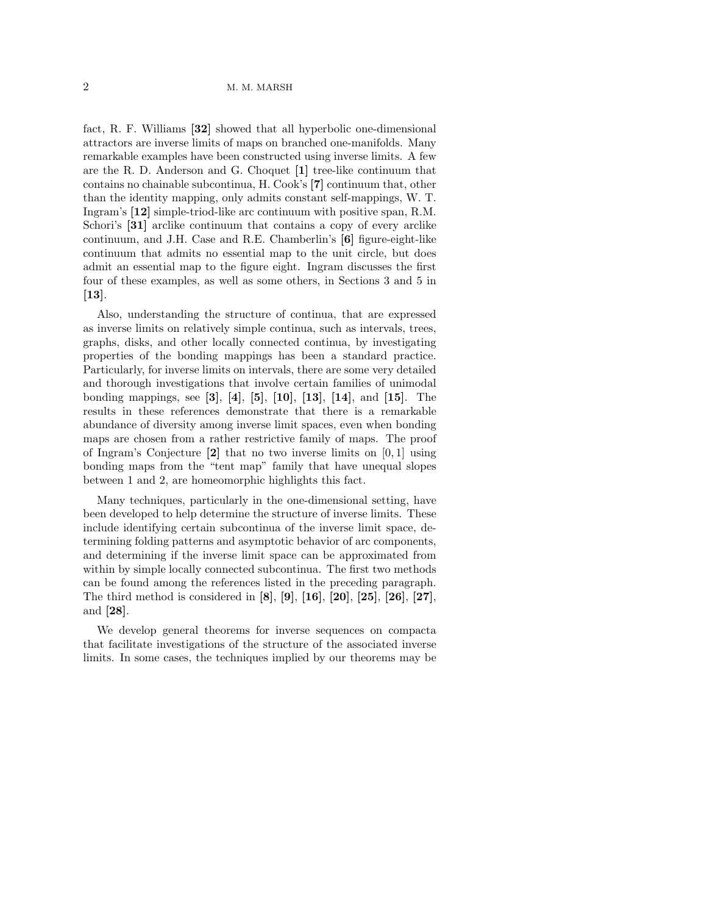fact, R. F. Williams [32] showed that all hyperbolic one-dimensional attractors are inverse limits of maps on branched one-manifolds. Many remarkable examples have been constructed using inverse limits. A few are the R. D. Anderson and G. Choquet [1] tree-like continuum that contains no chainable subcontinua, H. Cook's [7] continuum that, other than the identity mapping, only admits constant self-mappings, W. T. Ingram's [12] simple-triod-like arc continuum with positive span, R.M. Schori's [31] arclike continuum that contains a copy of every arclike continuum, and J.H. Case and R.E. Chamberlin's [6] figure-eight-like continuum that admits no essential map to the unit circle, but does admit an essential map to the figure eight. Ingram discusses the first four of these examples, as well as some others, in Sections 3 and 5 in  $\left[13\right]$ .

Also, understanding the structure of continua, that are expressed as inverse limits on relatively simple continua, such as intervals, trees, graphs, disks, and other locally connected continua, by investigating properties of the bonding mappings has been a standard practice. Particularly, for inverse limits on intervals, there are some very detailed and thorough investigations that involve certain families of unimodal bonding mappings, see [3], [4], [5], [10], [13], [14], and [15]. The results in these references demonstrate that there is a remarkable abundance of diversity among inverse limit spaces, even when bonding maps are chosen from a rather restrictive family of maps. The proof of Ingram's Conjecture [2] that no two inverse limits on [0, 1] using bonding maps from the "tent map" family that have unequal slopes between 1 and 2, are homeomorphic highlights this fact.

Many techniques, particularly in the one-dimensional setting, have been developed to help determine the structure of inverse limits. These include identifying certain subcontinua of the inverse limit space, determining folding patterns and asymptotic behavior of arc components, and determining if the inverse limit space can be approximated from within by simple locally connected subcontinua. The first two methods can be found among the references listed in the preceding paragraph. The third method is considered in [8], [9], [16], [20], [25], [26], [27], and [28].

We develop general theorems for inverse sequences on compacta that facilitate investigations of the structure of the associated inverse limits. In some cases, the techniques implied by our theorems may be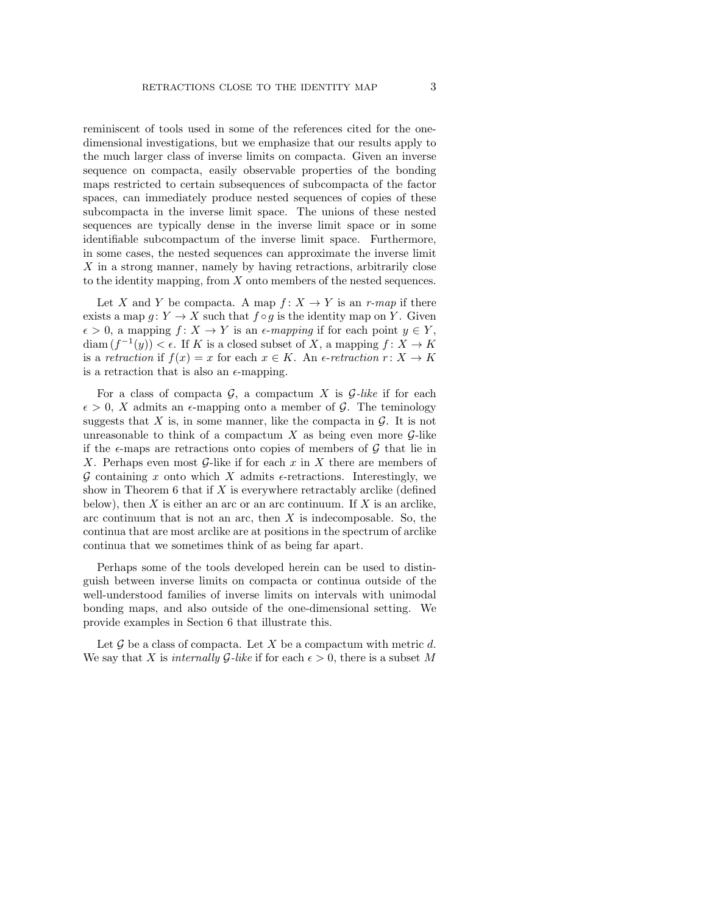reminiscent of tools used in some of the references cited for the onedimensional investigations, but we emphasize that our results apply to the much larger class of inverse limits on compacta. Given an inverse sequence on compacta, easily observable properties of the bonding maps restricted to certain subsequences of subcompacta of the factor spaces, can immediately produce nested sequences of copies of these subcompacta in the inverse limit space. The unions of these nested sequences are typically dense in the inverse limit space or in some identifiable subcompactum of the inverse limit space. Furthermore, in some cases, the nested sequences can approximate the inverse limit X in a strong manner, namely by having retractions, arbitrarily close to the identity mapping, from  $X$  onto members of the nested sequences.

Let X and Y be compacta. A map  $f: X \to Y$  is an r-map if there exists a map  $g: Y \to X$  such that  $f \circ g$  is the identity map on Y. Given  $\epsilon > 0$ , a mapping  $f: X \to Y$  is an  $\epsilon$ -mapping if for each point  $y \in Y$ ,  $\text{diam}(f^{-1}(y)) < \epsilon$ . If K is a closed subset of X, a mapping  $f: X \to K$ is a retraction if  $f(x) = x$  for each  $x \in K$ . An  $\epsilon$ -retraction  $r: X \to K$ is a retraction that is also an  $\epsilon$ -mapping.

For a class of compacta  $\mathcal{G}$ , a compactum X is  $\mathcal{G}-like$  if for each  $\epsilon > 0$ , X admits an  $\epsilon$ -mapping onto a member of G. The teminology suggests that X is, in some manner, like the compacta in  $\mathcal{G}$ . It is not unreasonable to think of a compactum X as being even more  $\mathcal{G}$ -like if the  $\epsilon$ -maps are retractions onto copies of members of  $\mathcal G$  that lie in X. Perhaps even most  $G$ -like if for each x in X there are members of G containing x onto which X admits  $\epsilon$ -retractions. Interestingly, we show in Theorem 6 that if  $X$  is everywhere retractably arclike (defined below), then  $X$  is either an arc or an arc continuum. If  $X$  is an arclike, arc continuum that is not an arc, then  $X$  is indecomposable. So, the continua that are most arclike are at positions in the spectrum of arclike continua that we sometimes think of as being far apart.

Perhaps some of the tools developed herein can be used to distinguish between inverse limits on compacta or continua outside of the well-understood families of inverse limits on intervals with unimodal bonding maps, and also outside of the one-dimensional setting. We provide examples in Section 6 that illustrate this.

Let  $\mathcal G$  be a class of compacta. Let X be a compactum with metric d. We say that X is internally  $\mathcal{G}-like$  if for each  $\epsilon > 0$ , there is a subset M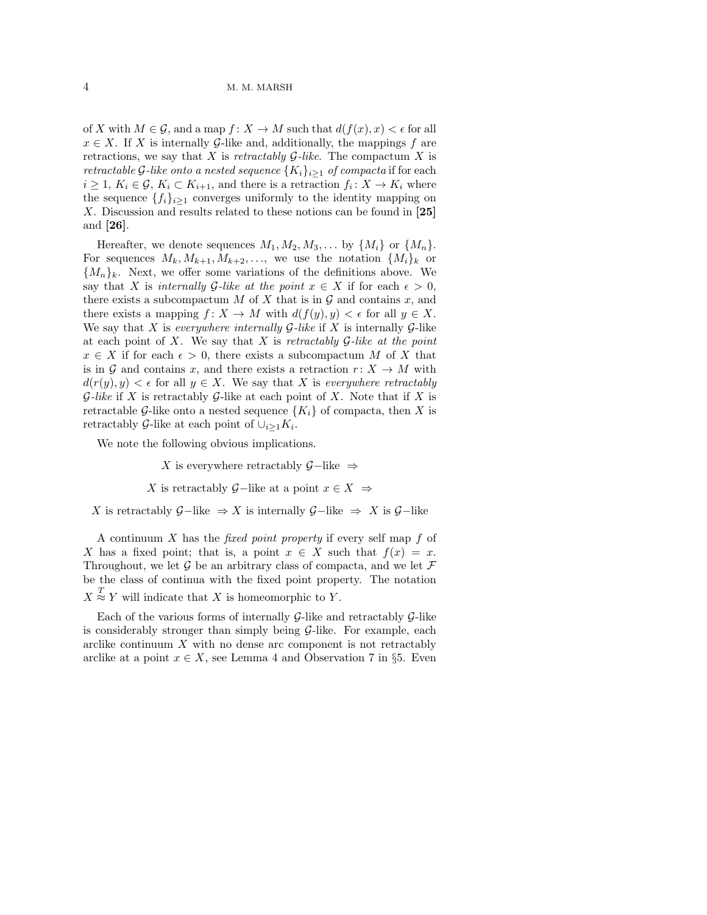of X with  $M \in \mathcal{G}$ , and a map  $f: X \to M$  such that  $d(f(x), x) < \epsilon$  for all  $x \in X$ . If X is internally G-like and, additionally, the mappings f are retractions, we say that X is retractably  $G$ -like. The compactum X is retractable G-like onto a nested sequence  $\{K_i\}_{i\geq 1}$  of compacta if for each  $i \geq 1, K_i \in \mathcal{G}, K_i \subset K_{i+1}$ , and there is a retraction  $f_i: X \to K_i$  where the sequence  $\{f_i\}_{i\geq 1}$  converges uniformly to the identity mapping on X. Discussion and results related to these notions can be found in [25] and [26].

Hereafter, we denote sequences  $M_1, M_2, M_3, \ldots$  by  $\{M_i\}$  or  $\{M_n\}.$ For sequences  $M_k, M_{k+1}, M_{k+2}, \ldots$ , we use the notation  $\{M_i\}_k$  or  ${M_n}_k$ . Next, we offer some variations of the definitions above. We say that X is internally G-like at the point  $x \in X$  if for each  $\epsilon > 0$ , there exists a subcompactum  $M$  of  $X$  that is in  $G$  and contains  $x$ , and there exists a mapping  $f: X \to M$  with  $d(f(y), y) < \epsilon$  for all  $y \in X$ . We say that X is everywhere internally  $G$ -like if X is internally  $G$ -like at each point of X. We say that X is retractably  $\mathcal G$ -like at the point  $x \in X$  if for each  $\epsilon > 0$ , there exists a subcompactum M of X that is in G and contains x, and there exists a retraction  $r: X \to M$  with  $d(r(y), y) < \epsilon$  for all  $y \in X$ . We say that X is everywhere retractably  $G$ -like if X is retractably  $G$ -like at each point of X. Note that if X is retractable G-like onto a nested sequence  $\{K_i\}$  of compacta, then X is retractably G-like at each point of  $\cup_{i\geq 1} K_i$ .

We note the following obvious implications.

X is everywhere retractably  $\mathcal{G}-$ like  $\Rightarrow$ 

X is retractably  $G$ –like at a point  $x \in X \Rightarrow$ 

X is retractably  $G$ −like  $\Rightarrow$  X is internally  $G$ −like  $\Rightarrow$  X is  $G$ −like

A continuum  $X$  has the *fixed point property* if every self map  $f$  of X has a fixed point; that is, a point  $x \in X$  such that  $f(x) = x$ . Throughout, we let  $\mathcal G$  be an arbitrary class of compacta, and we let  $\mathcal F$ be the class of continua with the fixed point property. The notation  $X \stackrel{T}{\approx} Y$  will indicate that X is homeomorphic to Y.

Each of the various forms of internally  $\mathcal{G}\text{-like}$  and retractably  $\mathcal{G}\text{-like}$ is considerably stronger than simply being  $\mathcal{G}-$ like. For example, each arclike continuum  $X$  with no dense arc component is not retractably arclike at a point  $x \in X$ , see Lemma 4 and Observation 7 in §5. Even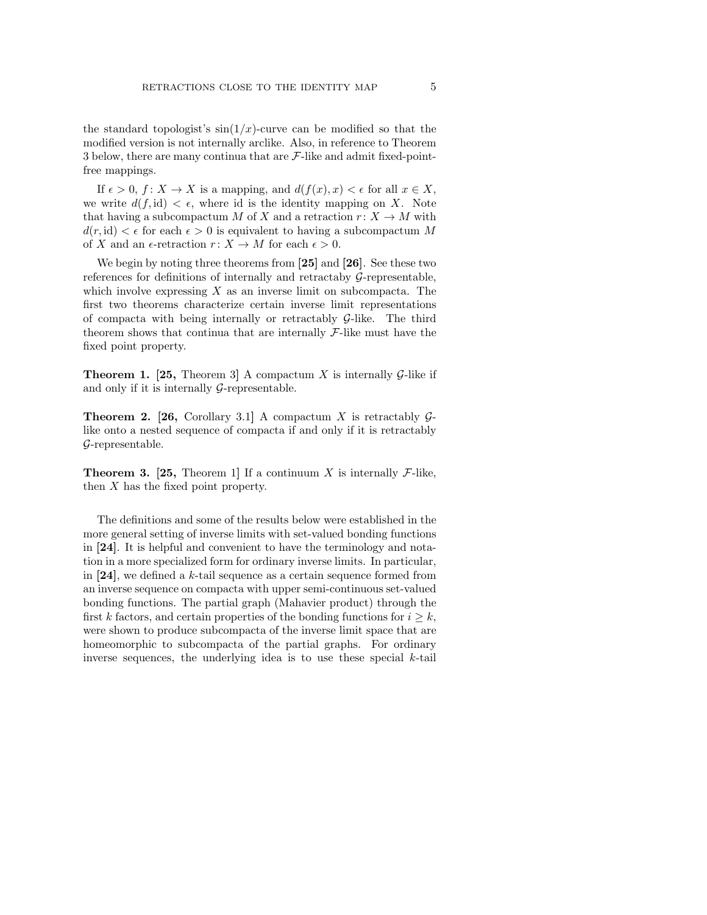the standard topologist's  $\sin(1/x)$ -curve can be modified so that the modified version is not internally arclike. Also, in reference to Theorem 3 below, there are many continua that are  $\mathcal{F}\text{-like}$  and admit fixed-pointfree mappings.

If  $\epsilon > 0$ ,  $f: X \to X$  is a mapping, and  $d(f(x), x) < \epsilon$  for all  $x \in X$ , we write  $d(f, id) < \epsilon$ , where id is the identity mapping on X. Note that having a subcompactum M of X and a retraction  $r: X \to M$  with  $d(r, id) < \epsilon$  for each  $\epsilon > 0$  is equivalent to having a subcompactum M of X and an  $\epsilon$ -retraction  $r: X \to M$  for each  $\epsilon > 0$ .

We begin by noting three theorems from [25] and [26]. See these two references for definitions of internally and retractaby G-representable, which involve expressing  $X$  as an inverse limit on subcompacta. The first two theorems characterize certain inverse limit representations of compacta with being internally or retractably  $\mathcal{G}-$ like. The third theorem shows that continua that are internally  $\mathcal{F}\text{-like}$  must have the fixed point property.

**Theorem 1. [25, Theorem 3] A compactum X is internally G-like if** and only if it is internally  $\mathcal{G}\text{-representable.}$ 

**Theorem 2. [26,** Corollary 3.1] A compactum X is retractably  $\mathcal{G}$ like onto a nested sequence of compacta if and only if it is retractably G-representable.

**Theorem 3. [25, Theorem 1]** If a continuum X is internally  $\mathcal{F}\text{-like}$ , then X has the fixed point property.

The definitions and some of the results below were established in the more general setting of inverse limits with set-valued bonding functions in [24]. It is helpful and convenient to have the terminology and notation in a more specialized form for ordinary inverse limits. In particular, in  $[24]$ , we defined a k-tail sequence as a certain sequence formed from an inverse sequence on compacta with upper semi-continuous set-valued bonding functions. The partial graph (Mahavier product) through the first k factors, and certain properties of the bonding functions for  $i \geq k$ , were shown to produce subcompacta of the inverse limit space that are homeomorphic to subcompacta of the partial graphs. For ordinary inverse sequences, the underlying idea is to use these special  $k$ -tail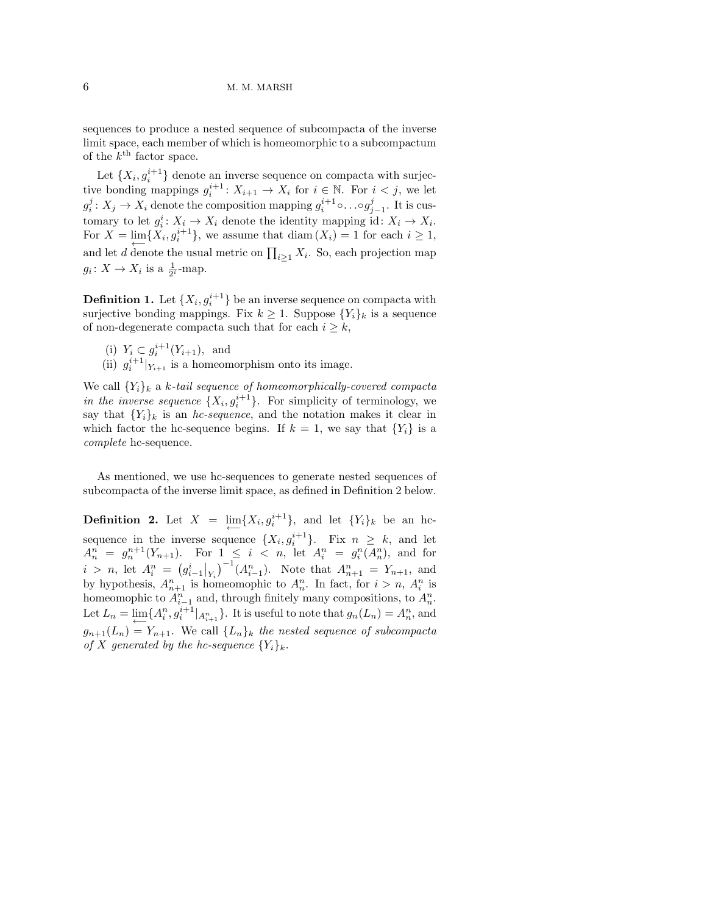sequences to produce a nested sequence of subcompacta of the inverse limit space, each member of which is homeomorphic to a subcompactum of the  $k^{\text{th}}$  factor space.

Let  $\{X_i, g_i^{i+1}\}\$  denote an inverse sequence on compacta with surjective bonding mappings  $g_i^{i+1}$ :  $X_{i+1} \to X_i$  for  $i \in \mathbb{N}$ . For  $i < j$ , we let  $g_i^j: X_j \to X_i$  denote the composition mapping  $g_i^{i+1} \circ \ldots \circ g_{j-1}^j$ . It is customary to let  $g_i^i: X_i \to X_i$  denote the identity mapping id:  $X_i \to X_i$ . For  $X = \lim_{i \to \infty} \{X_i, g_i^{i+1}\}\$ , we assume that  $\text{diam}(X_i) = 1$  for each  $i \geq 1$ , and let d denote the usual metric on  $\prod_{i\geq 1} X_i$ . So, each projection map  $g_i \colon X \to X_i$  is a  $\frac{1}{2^i}$ -map.

**Definition 1.** Let  $\{X_i, g_i^{i+1}\}$  be an inverse sequence on compacta with surjective bonding mappings. Fix  $k \geq 1$ . Suppose  $\{Y_i\}_k$  is a sequence of non-degenerate compacta such that for each  $i \geq k$ ,

- (i)  $Y_i \subset g_i^{i+1}(Y_{i+1}),$  and
- (ii)  $g_i^{i+1}|_{Y_{i+1}}$  is a homeomorphism onto its image.

We call  ${Y_i}_k$  a k-tail sequence of homeomorphically-covered compacta in the inverse sequence  $\{X_i, g_i^{i+1}\}$ . For simplicity of terminology, we say that  ${Y_i}_k$  is an *hc-sequence*, and the notation makes it clear in which factor the hc-sequence begins. If  $k = 1$ , we say that  $\{Y_i\}$  is a complete hc-sequence.

As mentioned, we use hc-sequences to generate nested sequences of subcompacta of the inverse limit space, as defined in Definition 2 below.

**Definition 2.** Let  $X = \lim_{n \to \infty} \{X_i, g_i^{i+1}\}\$ , and let  $\{Y_i\}_k$  be an hesequence in the inverse sequence  $\{X_i, g_i^{i+1}\}\$ . Fix  $n \geq k$ , and let  $A_n^n = g_n^{n+1}(Y_{n+1})$ . For  $1 \leq i < n$ , let  $A_i^n = g_i^n(A_n^n)$ , and for  $i > n$ , let  $A_i^n = (g_{i-1}^i|_{Y_i})^{-1}(A_{i-1}^n)$ . Note that  $A_{n+1}^n = Y_{n+1}$ , and by hypothesis,  $A_{n+1}^n$  is homeomophic to  $A_n^n$ . In fact, for  $i > n$ ,  $A_i^n$  is homeomophic to  $A_{i-1}^n$  and, through finitely many compositions, to  $A_n^n$ . Let  $L_n = \lim_{\leftarrow} \{A_i^n, g_i^{i+1} |_{A_{i+1}^n}\}$ . It is useful to note that  $g_n(L_n) = A_n^n$ , and  $g_{n+1}(L_n) = Y_{n+1}$ . We call  $\{L_n\}_k$  the nested sequence of subcompacta of X generated by the hc-sequence  $\{Y_i\}_k$ .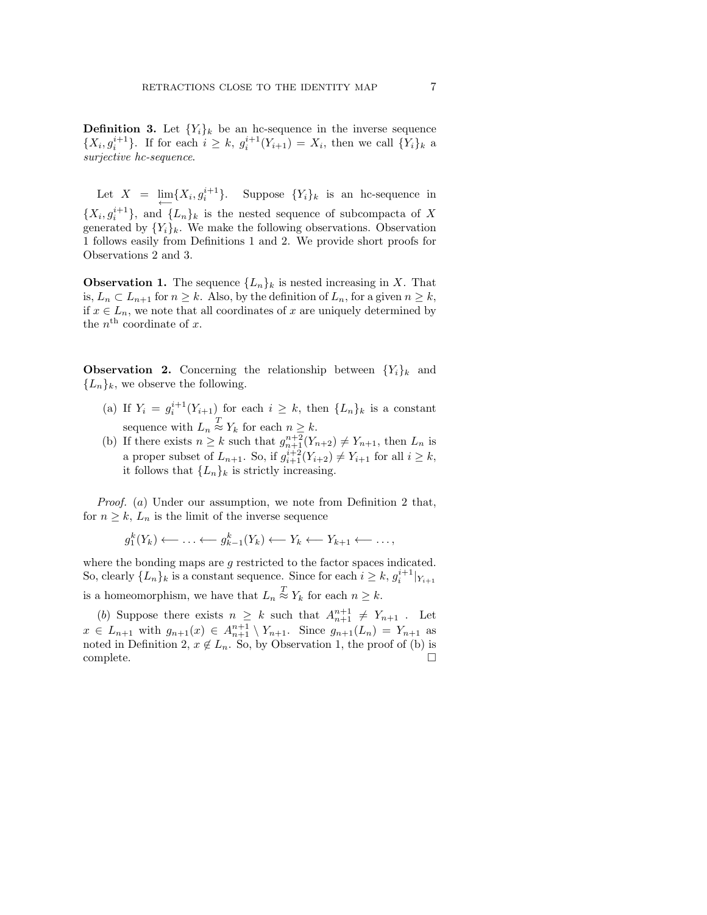**Definition 3.** Let  ${Y_i}_k$  be an hc-sequence in the inverse sequence  $\{X_i, g_i^{i+1}\}\$ . If for each  $i \geq k$ ,  $g_i^{i+1}(Y_{i+1}) = X_i$ , then we call  $\{Y_i\}_k$  a surjective hc-sequence.

Let  $X = \lim_{n \to \infty} \{X_i, g_i^{i+1}\}.$  Suppose  $\{Y_i\}_k$  is an hc-sequence in  ${X_i, g_i^{i+1}}$ , and  ${L_n}_k$  is the nested sequence of subcompacta of X generated by  $\{Y_i\}_k$ . We make the following observations. Observation 1 follows easily from Definitions 1 and 2. We provide short proofs for Observations 2 and 3.

**Observation 1.** The sequence  ${L_n}_k$  is nested increasing in X. That is,  $L_n \subset L_{n+1}$  for  $n \geq k$ . Also, by the definition of  $L_n$ , for a given  $n \geq k$ , if  $x \in L_n$ , we note that all coordinates of x are uniquely determined by the  $n^{\text{th}}$  coordinate of x.

**Observation 2.** Concerning the relationship between  ${Y_i}_k$  and  ${L_n}_k$ , we observe the following.

- (a) If  $Y_i = g_i^{i+1}(Y_{i+1})$  for each  $i \geq k$ , then  $\{L_n\}_k$  is a constant sequence with  $L_n \stackrel{T}{\approx} Y_k$  for each  $n \geq k$ .
- (b) If there exists  $n \geq k$  such that  $g_{n+1}^{n+2}(Y_{n+2}) \neq Y_{n+1}$ , then  $L_n$  is a proper subset of  $L_{n+1}$ . So, if  $g_{i+1}^{i+2}(Y_{i+2}) \neq Y_{i+1}$  for all  $i \geq k$ , it follows that  ${L_n}_k$  is strictly increasing.

Proof. (a) Under our assumption, we note from Definition 2 that, for  $n \geq k$ ,  $L_n$  is the limit of the inverse sequence

$$
g_1^k(Y_k) \leftarrow \ldots \leftarrow g_{k-1}^k(Y_k) \leftarrow Y_k \leftarrow Y_{k+1} \leftarrow \ldots,
$$

where the bonding maps are g restricted to the factor spaces indicated. So, clearly  $\{L_n\}_k$  is a constant sequence. Since for each  $i \geq k$ ,  $g_i^{i+1}|_{Y_{i+1}}$ is a homeomorphism, we have that  $L_n \stackrel{T}{\approx} Y_k$  for each  $n \geq k$ .

(b) Suppose there exists  $n \geq k$  such that  $A_{n+1}^{n+1} \neq Y_{n+1}$ . Let  $x \in L_{n+1}$  with  $g_{n+1}(x) \in A_{n+1}^{n+1} \setminus Y_{n+1}$ . Since  $g_{n+1}(L_n) = Y_{n+1}$  as noted in Definition 2,  $x \notin L_n$ . So, by Observation 1, the proof of (b) is complete. □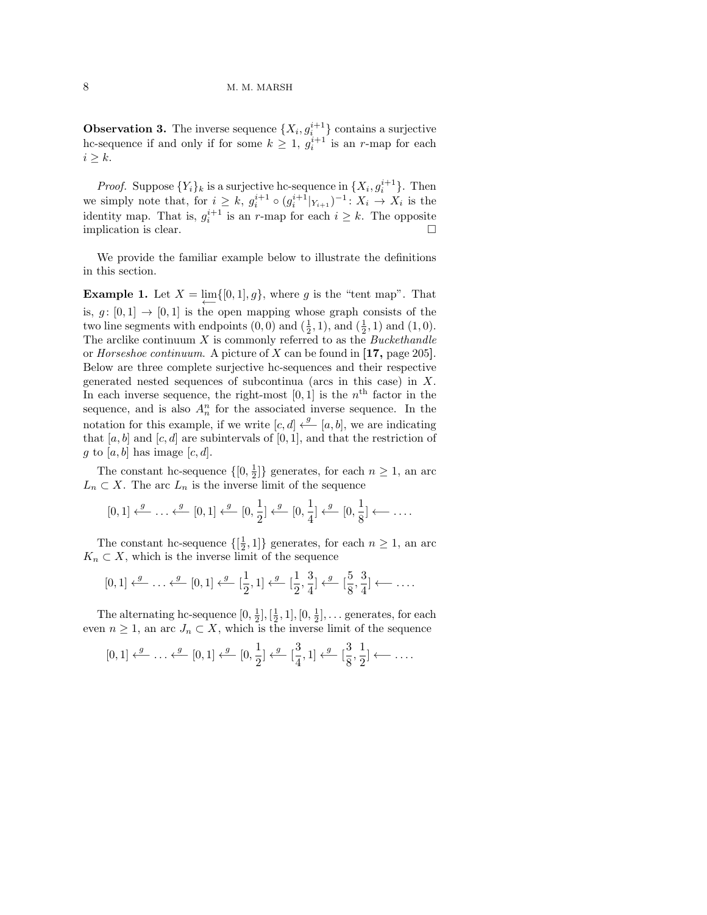**Observation 3.** The inverse sequence  $\{X_i, g_i^{i+1}\}$  contains a surjective hc-sequence if and only if for some  $k \geq 1$ ,  $g_i^{i+1}$  is an r-map for each  $i \geq k$ .

*Proof.* Suppose  $\{Y_i\}_k$  is a surjective hc-sequence in  $\{X_i, g_i^{i+1}\}\$ . Then we simply note that, for  $i \geq k$ ,  $g_i^{i+1} \circ (g_i^{i+1}|_{Y_{i+1}})^{-1}$ :  $X_i \to X_i$  is the identity map. That is,  $g_i^{i+1}$  is an r-map for each  $i \geq k$ . The opposite implication is clear.  $\Box$ 

We provide the familiar example below to illustrate the definitions in this section.

**Example 1.** Let  $X = \lim_{\longleftarrow} \{ [0, 1], g \}$ , where g is the "tent map". That is,  $g: [0, 1] \rightarrow [0, 1]$  is the open mapping whose graph consists of the two line segments with endpoints  $(0,0)$  and  $(\frac{1}{2},1)$ , and  $(\frac{1}{2},1)$  and  $(1,0)$ . The arclike continuum  $X$  is commonly referred to as the *Buckethandle* or Horseshoe continuum. A picture of X can be found in [17, page 205]. Below are three complete surjective hc-sequences and their respective generated nested sequences of subcontinua (arcs in this case) in X. In each inverse sequence, the right-most  $[0,1]$  is the  $n<sup>th</sup>$  factor in the sequence, and is also  $A_n^n$  for the associated inverse sequence. In the notation for this example, if we write  $[c, d] \stackrel{g}{\longleftarrow} [a, b]$ , we are indicating that  $[a, b]$  and  $[c, d]$  are subintervals of  $[0, 1]$ , and that the restriction of g to [a, b] has image  $[c, d]$ .

The constant hc-sequence  $\{[0, \frac{1}{2}]\}$  generates, for each  $n \geq 1$ , an arc  $L_n \subset X$ . The arc  $L_n$  is the inverse limit of the sequence

$$
[0,1] \xleftarrow{g} \dots \xleftarrow{g} [0,1] \xleftarrow{g} [0,\frac{1}{2}] \xleftarrow{g} [0,\frac{1}{4}] \xleftarrow{g} [0,\frac{1}{8}] \xleftarrow{g} \dots
$$

The constant hc-sequence  $\{[\frac{1}{2},1]\}$  generates, for each  $n \geq 1$ , an arc  $K_n \subset X$ , which is the inverse limit of the sequence

$$
[0,1] \xleftarrow{g} \dots \xleftarrow{g} [0,1] \xleftarrow{g} [\frac{1}{2},1] \xleftarrow{g} [\frac{1}{2},\frac{3}{4}] \xleftarrow{g} [\frac{5}{8},\frac{3}{4}] \xleftarrow{\dots}
$$

The alternating hc-sequence  $[0, \frac{1}{2}], [\frac{1}{2}, 1], [0, \frac{1}{2}], \dots$  generates, for each even  $n \geq 1$ , an arc  $J_n \subset X$ , which is the inverse limit of the sequence

$$
[0,1] \xleftarrow{g} \dots \xleftarrow{g} [0,1] \xleftarrow{g} [0,\frac{1}{2}] \xleftarrow{g} [\frac{3}{4},1] \xleftarrow{g} [\frac{3}{8},\frac{1}{2}] \xleftarrow{\dots}
$$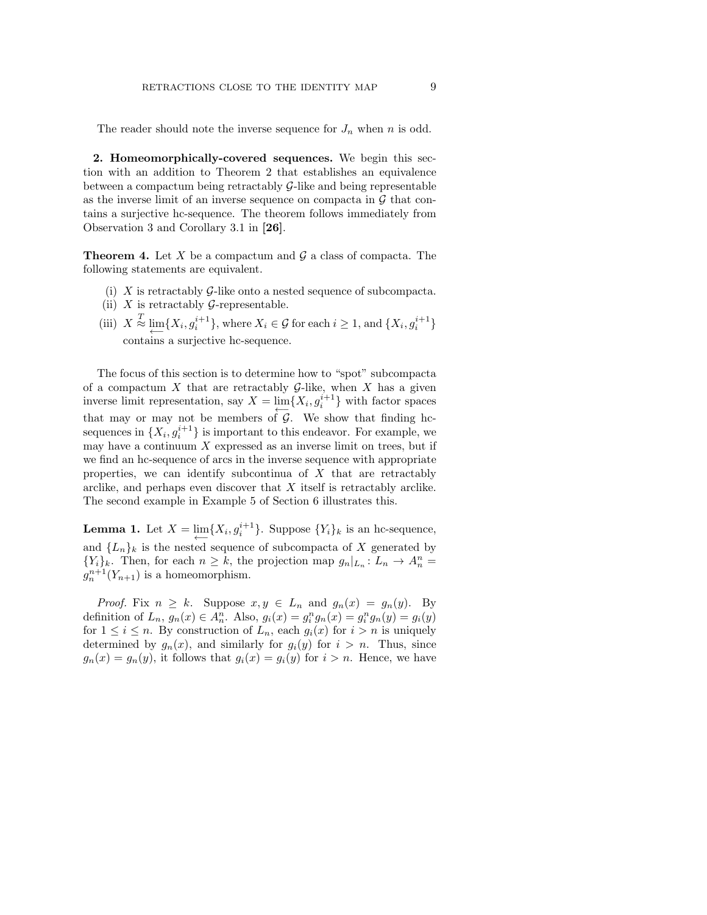The reader should note the inverse sequence for  $J_n$  when n is odd.

2. Homeomorphically-covered sequences. We begin this section with an addition to Theorem 2 that establishes an equivalence between a compactum being retractably G-like and being representable as the inverse limit of an inverse sequence on compacta in  $\mathcal G$  that contains a surjective hc-sequence. The theorem follows immediately from Observation 3 and Corollary 3.1 in [26].

**Theorem 4.** Let X be a compactum and  $\mathcal{G}$  a class of compacta. The following statements are equivalent.

- (i)  $X$  is retractably  $G$ -like onto a nested sequence of subcompacta.
- (ii)  $X$  is retractably  $G$ -representable.
- (iii)  $X \stackrel{T}{\approx} \lim_{i} \{X_i, g_i^{i+1}\}\$ , where  $X_i \in \mathcal{G}$  for each  $i \geq 1$ , and  $\{X_i, g_i^{i+1}\}\$ contains a surjective hc-sequence.

The focus of this section is to determine how to "spot" subcompacta of a compactum X that are retractably  $G$ -like, when X has a given inverse limit representation, say  $X = \lim_{\longleftarrow} \{X_i, g_i^{i+1}\}\$  with factor spaces that may or may not be members of  $G$ . We show that finding hcsequences in  $\{X_i, g_i^{i+1}\}\$ is important to this endeavor. For example, we may have a continuum  $X$  expressed as an inverse limit on trees, but if we find an hc-sequence of arcs in the inverse sequence with appropriate properties, we can identify subcontinua of  $X$  that are retractably arclike, and perhaps even discover that X itself is retractably arclike. The second example in Example 5 of Section 6 illustrates this.

**Lemma 1.** Let  $X = \lim_{i \to \infty} \{X_i, g_i^{i+1}\}\$ . Suppose  $\{Y_i\}_k$  is an hc-sequence, and  ${L_n}_k$  is the nested sequence of subcompacta of X generated by  ${Y_i}_k$ . Then, for each  $n \geq k$ , the projection map  $g_n|_{L_n}: L_n \to A_n^n =$  $g_n^{n+1}(Y_{n+1})$  is a homeomorphism.

*Proof.* Fix  $n \geq k$ . Suppose  $x, y \in L_n$  and  $g_n(x) = g_n(y)$ . By definition of  $L_n$ ,  $g_n(x) \in A_n^n$ . Also,  $g_i(x) = g_i^n g_n(x) = g_i^n g_n(y) = g_i(y)$ for  $1 \leq i \leq n$ . By construction of  $L_n$ , each  $g_i(x)$  for  $i > n$  is uniquely determined by  $g_n(x)$ , and similarly for  $g_i(y)$  for  $i > n$ . Thus, since  $g_n(x) = g_n(y)$ , it follows that  $g_i(x) = g_i(y)$  for  $i > n$ . Hence, we have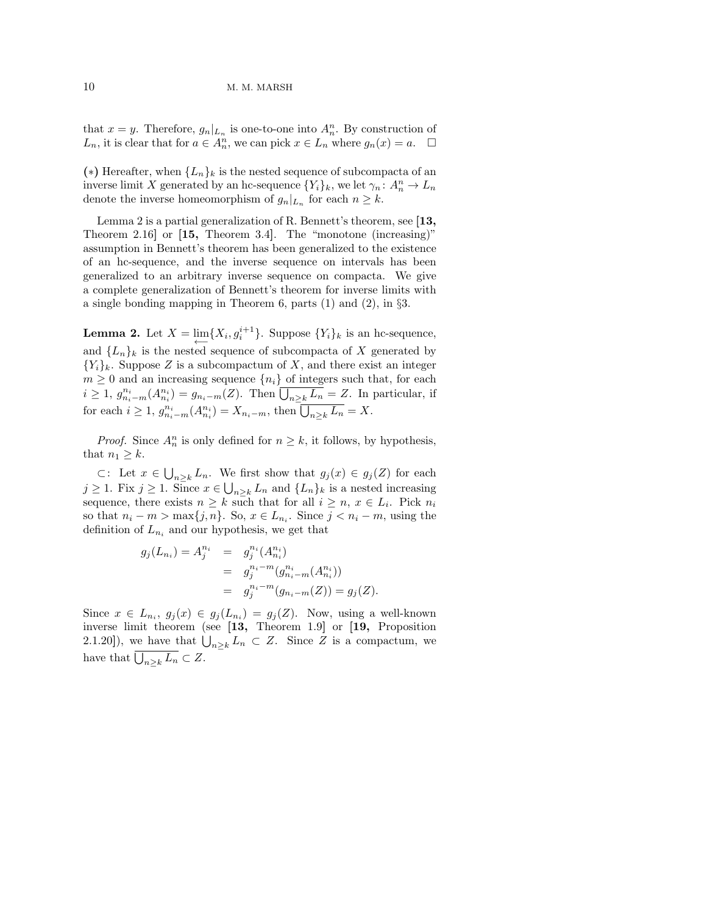that  $x = y$ . Therefore,  $g_n|_{L_n}$  is one-to-one into  $A_n^n$ . By construction of  $L_n$ , it is clear that for  $a \in A_n^n$ , we can pick  $x \in L_n$  where  $g_n(x) = a$ .  $\Box$ 

(\*) Hereafter, when  ${L_n}_k$  is the nested sequence of subcompacta of an inverse limit X generated by an hc-sequence  $\{Y_i\}_k$ , we let  $\gamma_n: A_n^n \to L_n$ denote the inverse homeomorphism of  $g_n|_{L_n}$  for each  $n \geq k$ .

Lemma 2 is a partial generalization of R. Bennett's theorem, see [13, Theorem 2.16] or [15, Theorem 3.4]. The "monotone (increasing)" assumption in Bennett's theorem has been generalized to the existence of an hc-sequence, and the inverse sequence on intervals has been generalized to an arbitrary inverse sequence on compacta. We give a complete generalization of Bennett's theorem for inverse limits with a single bonding mapping in Theorem 6, parts (1) and (2), in §3.

**Lemma 2.** Let  $X = \lim_{n \to \infty} \{X_i, g_i^{i+1}\}\$ . Suppose  $\{Y_i\}_k$  is an hc-sequence, and  $\{L_n\}_k$  is the nested sequence of subcompacta of X generated by  ${Y_i}_k$ . Suppose Z is a subcompactum of X, and there exist an integer  $m \geq 0$  and an increasing sequence  $\{n_i\}$  of integers such that, for each  $i \geq 1, g_{n_i-m}^{n_i}(A_{n_i}^{n_i}) = g_{n_i-m}(Z)$ . Then  $\overline{\bigcup_{n \geq k} L_n} = Z$ . In particular, if for each  $i \geq 1$ ,  $g_{n_i-m}^{n_i}(A_{n_i}^{n_i}) = X_{n_i-m}$ , then  $\overline{\bigcup_{n \geq k} L_n} = X$ .

*Proof.* Since  $A_n^n$  is only defined for  $n \geq k$ , it follows, by hypothesis, that  $n_1 \geq k$ .

⊂: Let  $x \in \bigcup_{n \geq k} L_n$ . We first show that  $g_j(x) \in g_j(Z)$  for each  $j \geq 1$ . Fix  $j \geq 1$ . Since  $x \in \bigcup_{n \geq k} L_n$  and  $\{L_n\}_k$  is a nested increasing sequence, there exists  $n \geq k$  such that for all  $i \geq n$ ,  $x \in L_i$ . Pick  $n_i$ so that  $n_i - m > \max\{j, n\}$ . So,  $x \in L_{n_i}$ . Since  $j < n_i - m$ , using the definition of  $L_{n_i}$  and our hypothesis, we get that

$$
g_j(L_{n_i}) = A_j^{n_i} = g_j^{n_i}(A_{n_i}^{n_i})
$$
  
= 
$$
g_j^{n_i - m}(g_{n_i - m}^{n_i}(A_{n_i}^{n_i}))
$$
  
= 
$$
g_j^{n_i - m}(g_{n_i - m}(Z)) = g_j(Z).
$$

Since  $x \in L_{n_i}$ ,  $g_j(x) \in g_j(L_{n_i}) = g_j(Z)$ . Now, using a well-known inverse limit theorem (see [13, Theorem 1.9] or [19, Proposition 2.1.20]), we have that  $\bigcup_{n\geq k} L_n \subset Z$ . Since Z is a compactum, we have that  $\bigcup_{n\geq k} L_n \subset Z$ .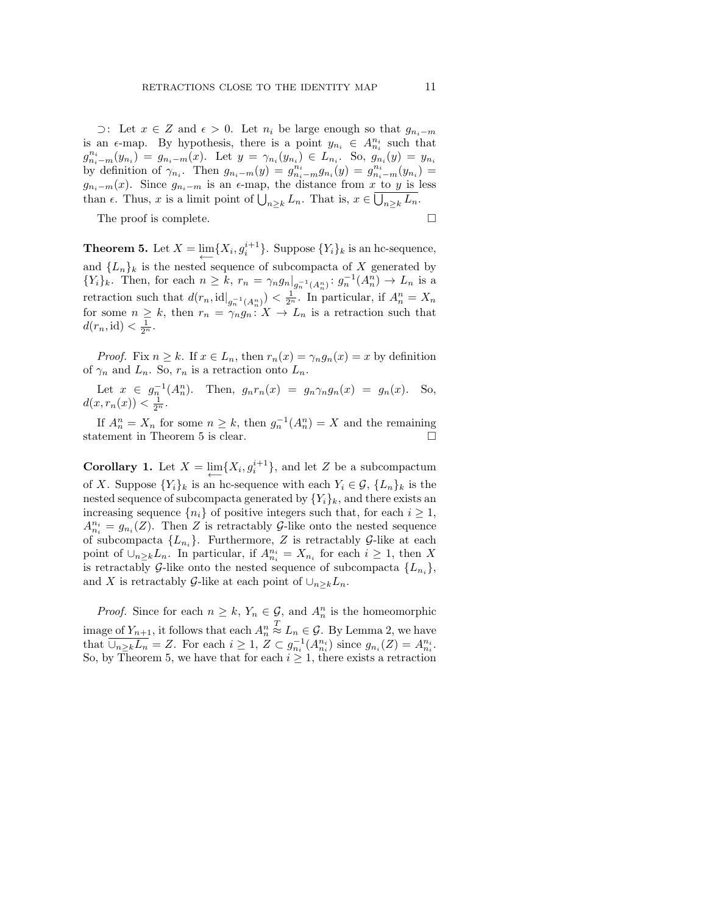$\supset$ : Let  $x \in Z$  and  $\epsilon > 0$ . Let  $n_i$  be large enough so that  $g_{n_i-m}$ is an  $\epsilon$ -map. By hypothesis, there is a point  $y_{n_i} \in A_{n_i}^{n_i}$  such that  $g_{n_i-m}^{n_i}(y_{n_i}) = g_{n_i-m}(x)$ . Let  $y = \gamma_{n_i}(y_{n_i}) \in L_{n_i}$ . So,  $g_{n_i}(y) = y_{n_i}$ by definition of  $\gamma_{n_i}$ . Then  $g_{n_i-m}(y) = g_{n_i-m}^{n_i}g_{n_i}(y) = g_{n_i-m}^{n_i}(y) =$  $g_{n_i-m}(x)$ . Since  $g_{n_i-m}$  is an  $\epsilon$ -map, the distance from x to y is less than  $\epsilon$ . Thus, x is a limit point of  $\bigcup_{n\geq k} L_n$ . That is,  $x \in \bigcup_{n\geq k} L_n$ .

The proof is complete.

**Theorem 5.** Let  $X = \lim_{n \to \infty} \{X_i, g_i^{i+1}\}\$ . Suppose  $\{Y_i\}_k$  is an hc-sequence, and  ${L_n}_k$  is the nested sequence of subcompacta of X generated by  $\{Y_i\}_k$ . Then, for each  $n \geq k$ ,  $r_n = \gamma_n g_n |_{g_n^{-1}(A_n^n)} : g_n^{-1}(A_n^n) \to L_n$  is a retraction such that  $d(r_n, \text{id}|_{g_n^{-1}(A_n^n)}) < \frac{1}{2^n}$ . In particular, if  $A_n^n = X_n$ for some  $n \geq k$ , then  $r_n = \gamma_n g_n : X \to L_n$  is a retraction such that  $d(r_n, \text{id}) < \frac{1}{2^n}.$ 

*Proof.* Fix  $n \geq k$ . If  $x \in L_n$ , then  $r_n(x) = \gamma_n g_n(x) = x$  by definition of  $\gamma_n$  and  $L_n$ . So,  $r_n$  is a retraction onto  $L_n$ .

Let  $x \in g_n^{-1}(A_n^n)$ . Then,  $g_n r_n(x) = g_n \gamma_n g_n(x) = g_n(x)$ . So,  $d(x, r_n(x)) < \frac{1}{2^n}.$ 

If  $A_n^n = X_n$  for some  $n \geq k$ , then  $g_n^{-1}(A_n^n) = X$  and the remaining statement in Theorem 5 is clear.  $\Box$ 

**Corollary 1.** Let  $X = \lim_{n \to \infty} \{X_i, g_i^{i+1}\}$ , and let Z be a subcompactum of X. Suppose  $\{Y_i\}_k$  is an hc-sequence with each  $Y_i \in \mathcal{G}, \{L_n\}_k$  is the nested sequence of subcompacta generated by  $\{Y_i\}_k$ , and there exists an increasing sequence  $\{n_i\}$  of positive integers such that, for each  $i \geq 1$ ,  $A_{n_i}^{n_i} = g_{n_i}(Z)$ . Then Z is retractably G-like onto the nested sequence of subcompacta  ${L_{n_i}}$ . Furthermore, Z is retractably G-like at each point of  $\cup_{n\geq k} L_n$ . In particular, if  $A_{n_i}^{n_i} = X_{n_i}$  for each  $i \geq 1$ , then X is retractably G-like onto the nested sequence of subcompacta  $\{L_{n_i}\},\$ and X is retractably G-like at each point of  $\bigcup_{n\geq k}L_n$ .

*Proof.* Since for each  $n \geq k$ ,  $Y_n \in \mathcal{G}$ , and  $A_n^n$  is the homeomorphic image of  $Y_{n+1}$ , it follows that each  $A_n^n$  $\stackrel{T}{\approx} L_n \in \mathcal{G}$ . By Lemma 2, we have that  $\overline{\bigcup_{n\geq k}L_n} = Z$ . For each  $i \geq 1$ ,  $Z \subset g_{n_i}^{-1}(A_{n_i}^{n_i})$  since  $g_{n_i}(Z) = A_{n_i}^{n_i}$ . So, by Theorem 5, we have that for each  $i \geq 1$ , there exists a retraction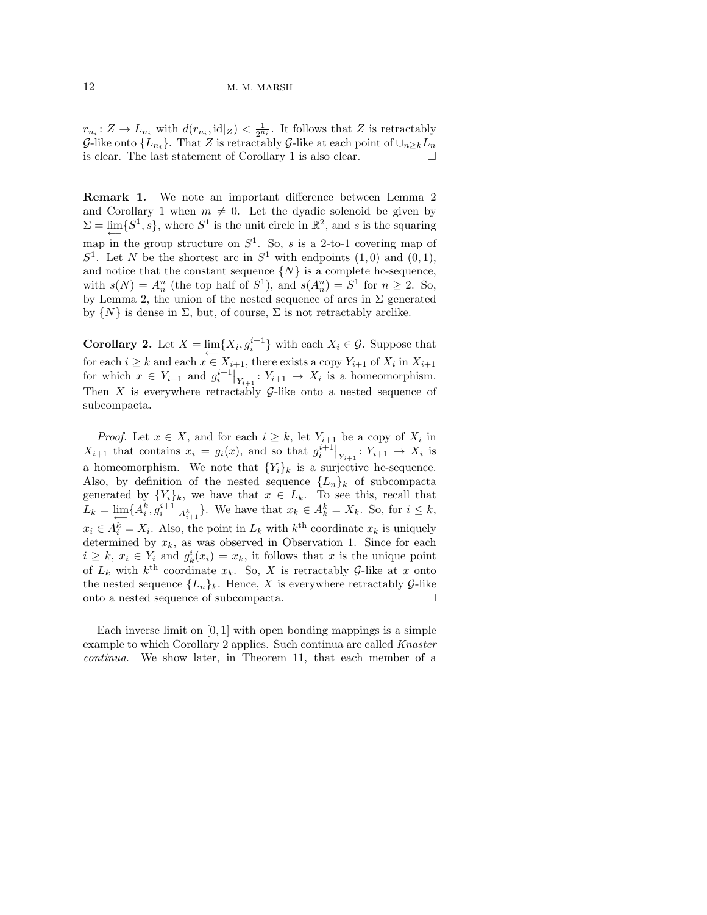$r_{n_i}: Z \to L_{n_i}$  with  $d(r_{n_i}, \text{id}|_Z) < \frac{1}{2^{n_i}}$ . It follows that Z is retractably G-like onto  $\{L_{n_i}\}\$ . That Z is retractably G-like at each point of  $\cup_{n\geq k}L_n$ is clear. The last statement of Corollary 1 is also clear.

Remark 1. We note an important difference between Lemma 2 and Corollary 1 when  $m \neq 0$ . Let the dyadic solenoid be given by  $\Sigma = \lim_{\longleftarrow} \{S^1, s\}$ , where  $S^1$  is the unit circle in  $\mathbb{R}^2$ , and s is the squaring map in the group structure on  $S^1$ . So, s is a 2-to-1 covering map of  $S<sup>1</sup>$ . Let N be the shortest arc in  $S<sup>1</sup>$  with endpoints  $(1,0)$  and  $(0,1)$ , and notice that the constant sequence  $\{N\}$  is a complete hc-sequence, with  $s(N) = A_n^n$  (the top half of  $S^1$ ), and  $s(A_n^n) = S^1$  for  $n \ge 2$ . So, by Lemma 2, the union of the nested sequence of arcs in  $\Sigma$  generated by  $\{N\}$  is dense in  $\Sigma$ , but, of course,  $\Sigma$  is not retractably arclike.

**Corollary 2.** Let  $X = \lim_{i \to \infty} \{X_i, g_i^{i+1}\}\$  with each  $X_i \in \mathcal{G}$ . Suppose that for each  $i \geq k$  and each  $x \in X_{i+1}$ , there exists a copy  $Y_{i+1}$  of  $X_i$  in  $X_{i+1}$ for which  $x \in Y_{i+1}$  and  $g_i^{i+1}|_{Y_{i+1}} : Y_{i+1} \to X_i$  is a homeomorphism. Then  $X$  is everywhere retractably  $G$ -like onto a nested sequence of subcompacta.

*Proof.* Let  $x \in X$ , and for each  $i \geq k$ , let  $Y_{i+1}$  be a copy of  $X_i$  in  $X_{i+1}$  that contains  $x_i = g_i(x)$ , and so that  $g_i^{i+1}|_{Y_{i+1}}: Y_{i+1} \to X_i$  is a homeomorphism. We note that  ${Y_i}_k$  is a surjective hc-sequence. Also, by definition of the nested sequence  ${L_n}_k$  of subcompacta generated by  $\{Y_i\}_k$ , we have that  $x \in L_k$ . To see this, recall that  $L_k = \lim_{k \to \infty} \{A_i^k, g_i^{i+1}|_{A_{i+1}^k}\}.$  We have that  $x_k \in A_k^k = X_k$ . So, for  $i \leq k$ ,  $x_i \in A_i^k = X_i$ . Also, the point in  $L_k$  with  $k^{\text{th}}$  coordinate  $x_k$  is uniquely determined by  $x_k$ , as was observed in Observation 1. Since for each  $i \geq k, x_i \in Y_i$  and  $g_k^i(x_i) = x_k$ , it follows that x is the unique point of  $L_k$  with  $k^{\text{th}}$  coordinate  $x_k$ . So, X is retractably G-like at x onto the nested sequence  ${L_n}_k$ . Hence, X is everywhere retractably  $\mathcal{G}$ -like onto a nested sequence of subcompacta.

Each inverse limit on  $[0, 1]$  with open bonding mappings is a simple example to which Corollary 2 applies. Such continua are called Knaster continua. We show later, in Theorem 11, that each member of a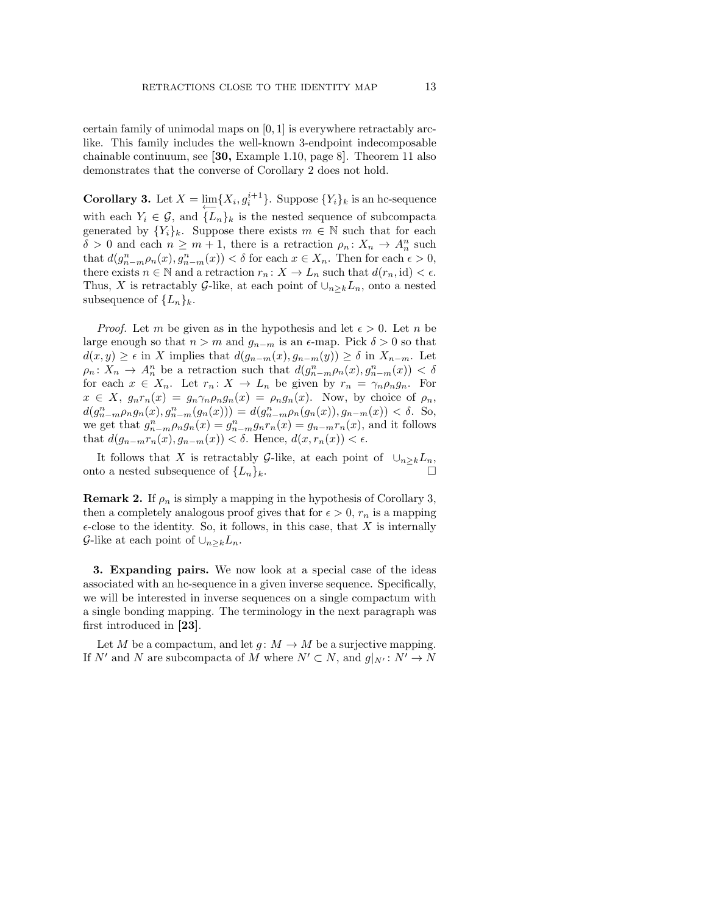certain family of unimodal maps on [0, 1] is everywhere retractably arclike. This family includes the well-known 3-endpoint indecomposable chainable continuum, see [30, Example 1.10, page 8]. Theorem 11 also demonstrates that the converse of Corollary 2 does not hold.

**Corollary 3.** Let  $X = \lim_{n \to \infty} \{X_i, g_i^{i+1}\}\$ . Suppose  $\{Y_i\}_k$  is an hc-sequence with each  $Y_i \in \mathcal{G}$ , and  $\{L_n\}_k$  is the nested sequence of subcompacta generated by  ${Y_i}_k$ . Suppose there exists  $m \in \mathbb{N}$  such that for each  $\delta > 0$  and each  $n \geq m + 1$ , there is a retraction  $\rho_n : X_n \to A_n^n$  such that  $d(g_{n-m}^n \rho_n(x), g_{n-m}^n(x)) < \delta$  for each  $x \in X_n$ . Then for each  $\epsilon > 0$ , there exists  $n \in \mathbb{N}$  and a retraction  $r_n: X \to L_n$  such that  $d(r_n, id) < \epsilon$ . Thus, X is retractably G-like, at each point of  $\cup_{n\geq k}L_n$ , onto a nested subsequence of  $\{L_n\}_k$ .

*Proof.* Let m be given as in the hypothesis and let  $\epsilon > 0$ . Let n be large enough so that  $n > m$  and  $g_{n-m}$  is an  $\epsilon$ -map. Pick  $\delta > 0$  so that  $d(x, y) \geq \epsilon$  in X implies that  $d(g_{n-m}(x), g_{n-m}(y)) \geq \delta$  in  $X_{n-m}$ . Let  $\rho_n: X_n \to A_n^n$  be a retraction such that  $d(g_{n-m}^n \rho_n(x), g_{n-m}^n(x)) < \delta$ for each  $x \in X_n$ . Let  $r_n: X \to L_n$  be given by  $r_n = \gamma_n \rho_n g_n$ . For  $x \in X$ ,  $g_n r_n(x) = g_n \gamma_n \rho_n g_n(x) = \rho_n g_n(x)$ . Now, by choice of  $\rho_n$ ,  $d(g_{n-m}^n \rho_n g_n(x), g_{n-m}^n(g_n(x))) = d(g_{n-m}^n \rho_n(g_n(x)), g_{n-m}(x)) < \delta$ . So, we get that  $g_{n-m}^n \rho_n g_n(x) = g_{n-m}^n g_n r_n(x) = g_{n-m} r_n(x)$ , and it follows that  $d(g_{n-m}r_n(x), g_{n-m}(x)) < \delta$ . Hence,  $d(x, r_n(x)) < \epsilon$ .

It follows that X is retractably G-like, at each point of  $\cup_{n\geq k}L_n$ , onto a nested subsequence of  $\{L_n\}_k$ .

**Remark 2.** If  $\rho_n$  is simply a mapping in the hypothesis of Corollary 3, then a completely analogous proof gives that for  $\epsilon > 0$ ,  $r_n$  is a mapping  $\epsilon$ -close to the identity. So, it follows, in this case, that X is internally G-like at each point of  $\cup_{n\geq k}L_n$ .

3. Expanding pairs. We now look at a special case of the ideas associated with an hc-sequence in a given inverse sequence. Specifically, we will be interested in inverse sequences on a single compactum with a single bonding mapping. The terminology in the next paragraph was first introduced in [23].

Let M be a compactum, and let  $g: M \to M$  be a surjective mapping. If N' and N are subcompacta of M where  $N' \subset N$ , and  $g|_{N'} : N' \to N$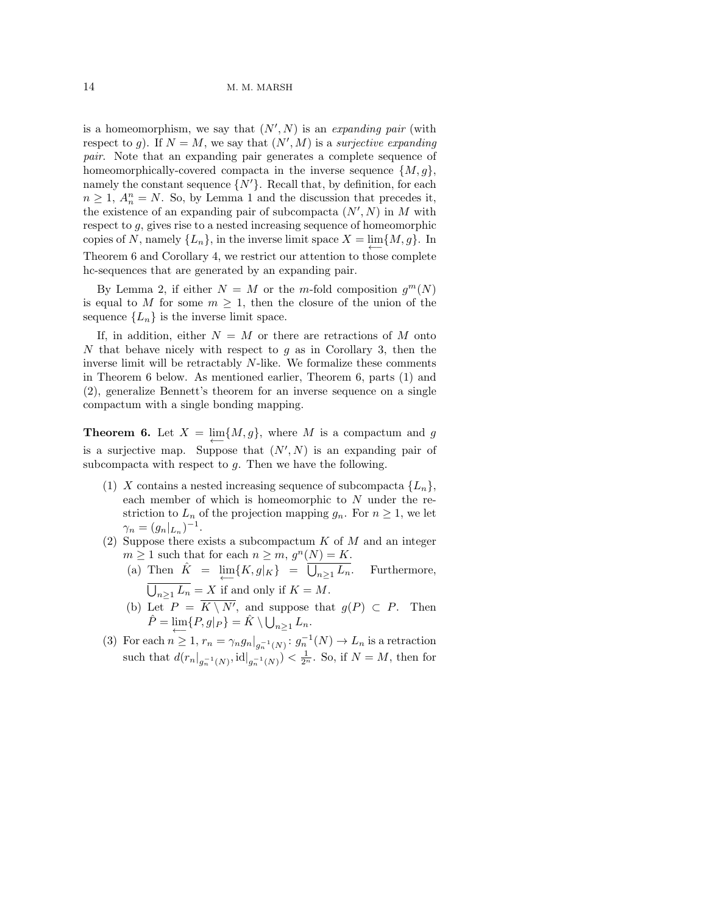is a homeomorphism, we say that  $(N', N)$  is an expanding pair (with respect to g). If  $N = M$ , we say that  $(N', M)$  is a surjective expanding pair. Note that an expanding pair generates a complete sequence of homeomorphically-covered compacta in the inverse sequence  $\{M, g\}$ , namely the constant sequence  $\{N'\}$ . Recall that, by definition, for each  $n \geq 1$ ,  $A_n^n = N$ . So, by Lemma 1 and the discussion that precedes it, the existence of an expanding pair of subcompacta  $(N', N)$  in M with respect to g, gives rise to a nested increasing sequence of homeomorphic copies of N, namely  $\{L_n\}$ , in the inverse limit space  $X = \lim_{\longleftarrow} \{M, g\}$ . In Theorem 6 and Corollary 4, we restrict our attention to those complete hc-sequences that are generated by an expanding pair.

By Lemma 2, if either  $N = M$  or the m-fold composition  $g^m(N)$ is equal to M for some  $m \geq 1$ , then the closure of the union of the sequence  ${L_n}$  is the inverse limit space.

If, in addition, either  $N = M$  or there are retractions of M onto N that behave nicely with respect to  $g$  as in Corollary 3, then the inverse limit will be retractably N-like. We formalize these comments in Theorem 6 below. As mentioned earlier, Theorem 6, parts (1) and (2), generalize Bennett's theorem for an inverse sequence on a single compactum with a single bonding mapping.

**Theorem 6.** Let  $X = \lim_{n \to \infty} \{M, g\}$ , where M is a compactum and g is a surjective map. Suppose that  $(N', N)$  is an expanding pair of subcompacta with respect to  $g$ . Then we have the following.

- (1) X contains a nested increasing sequence of subcompacta  $\{L_n\}$ , each member of which is homeomorphic to N under the restriction to  $L_n$  of the projection mapping  $g_n$ . For  $n \geq 1$ , we let  $\gamma_n = (g_n|_{L_n})^{-1}.$
- (2) Suppose there exists a subcompactum  $K$  of  $M$  and an integer  $m \geq 1$  such that for each  $n \geq m$ ,  $g^{n}(N) = K$ .
	- (a) Then  $\hat{K} = \lim_{\longleftarrow} \{ K, g |_{K} \} = \overline{\bigcup}$ Furthermore,  $\bigcup_{n\geq 1} L_n = X$  if and only if  $K = M$ .
	- (b) Let  $P = K \setminus N'$ , and suppose that  $g(P) \subset P$ . Then  $\hat{P} = \lim_{n \to \infty} \{P, g|_P\} = \hat{K} \setminus \bigcup_{n \geq 1} L_n.$
- (3) For each  $n \geq 1$ ,  $r_n = \gamma_n g_n \big|_{g_n^{-1}(N)} : g_n^{-1}(N) \to L_n$  is a retraction such that  $d(r_n|_{g_n^{-1}(N)}, \mathrm{id}|_{g_n^{-1}(N)}) < \frac{1}{2^n}$ . So, if  $N = M$ , then for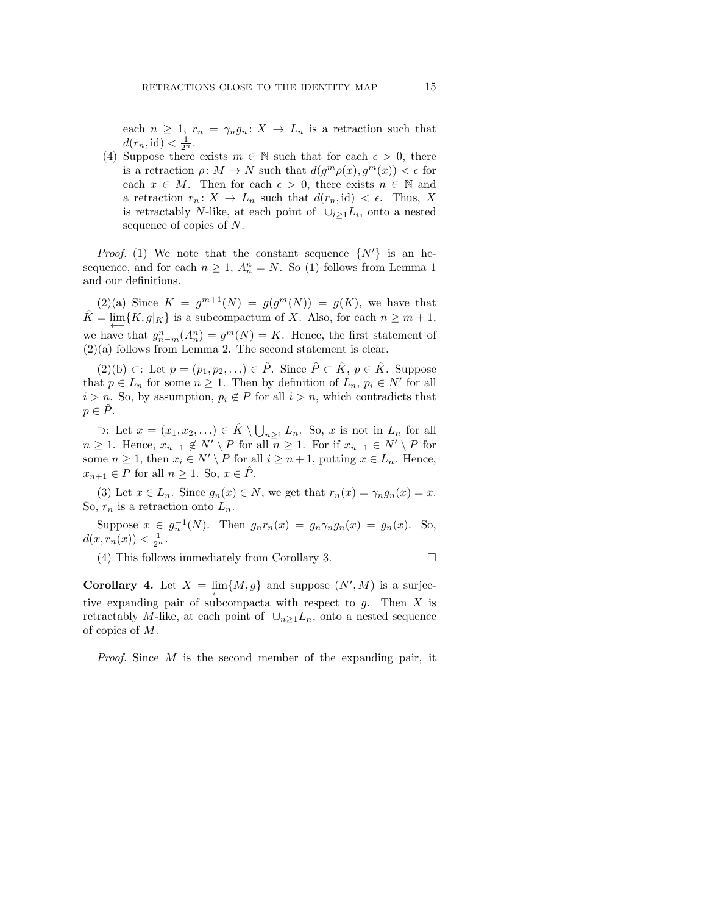each  $n \geq 1$ ,  $r_n = \gamma_n g_n : X \to L_n$  is a retraction such that  $d(r_n, \text{id}) < \frac{1}{2^n}.$ 

(4) Suppose there exists  $m \in \mathbb{N}$  such that for each  $\epsilon > 0$ , there is a retraction  $\rho: M \to N$  such that  $d(g^m \rho(x), g^m(x)) < \epsilon$  for each  $x \in M$ . Then for each  $\epsilon > 0$ , there exists  $n \in \mathbb{N}$  and a retraction  $r_n: X \to L_n$  such that  $d(r_n, id) < \epsilon$ . Thus, X is retractably N-like, at each point of  $\cup_{i\geq 1} L_i$ , onto a nested sequence of copies of N.

*Proof.* (1) We note that the constant sequence  $\{N'\}\$ is an hcsequence, and for each  $n \geq 1$ ,  $A_n^n = N$ . So (1) follows from Lemma 1 and our definitions.

 $(2)(a)$  Since  $K = g^{m+1}(N) = g(g^m(N)) = g(K)$ , we have that  $\hat{K} = \lim_{\longleftarrow} \{ K, g|_{K} \}$  is a subcompactum of X. Also, for each  $n \geq m + 1$ , we have that  $g_{n-m}^n(A_n^n) = g^m(N) = K$ . Hence, the first statement of  $(2)(a)$  follows from Lemma 2. The second statement is clear.

(2)(b) ⊂: Let  $p = (p_1, p_2, ...) \in \hat{P}$ . Since  $\hat{P} \subset \hat{K}$ ,  $p \in \hat{K}$ . Suppose that  $p \in L_n$  for some  $n \geq 1$ . Then by definition of  $L_n$ ,  $p_i \in N'$  for all  $i > n$ . So, by assumption,  $p_i \notin P$  for all  $i > n$ , which contradicts that  $p \in P$ .

⊃: Let  $x = (x_1, x_2, ...)$  ∈  $\hat{K} \setminus \bigcup_{n \geq 1} L_n$ . So, x is not in  $L_n$  for all  $n \geq 1$ . Hence,  $x_{n+1} \notin N' \setminus P$  for all  $n \geq 1$ . For if  $x_{n+1} \in N' \setminus P$  for some  $n \geq 1$ , then  $x_i \in N' \setminus P$  for all  $i \geq n+1$ , putting  $x \in L_n$ . Hence,  $x_{n+1} \in P$  for all  $n \geq 1$ . So,  $x \in \hat{P}$ .

(3) Let  $x \in L_n$ . Since  $g_n(x) \in N$ , we get that  $r_n(x) = \gamma_n g_n(x) = x$ . So,  $r_n$  is a retraction onto  $L_n$ .

Suppose  $x \in g_n^{-1}(N)$ . Then  $g_n r_n(x) = g_n \gamma_n g_n(x) = g_n(x)$ . So,  $d(x, r_n(x)) < \frac{1}{2^n}.$ 

(4) This follows immediately from Corollary 3.

$$
\Box
$$

**Corollary 4.** Let  $X = \lim_{n \to \infty} \{M, g\}$  and suppose  $(N', M)$  is a surjective expanding pair of subcompacta with respect to  $g$ . Then  $X$  is retractably M-like, at each point of  $\cup_{n>1}L_n$ , onto a nested sequence of copies of M.

Proof. Since M is the second member of the expanding pair, it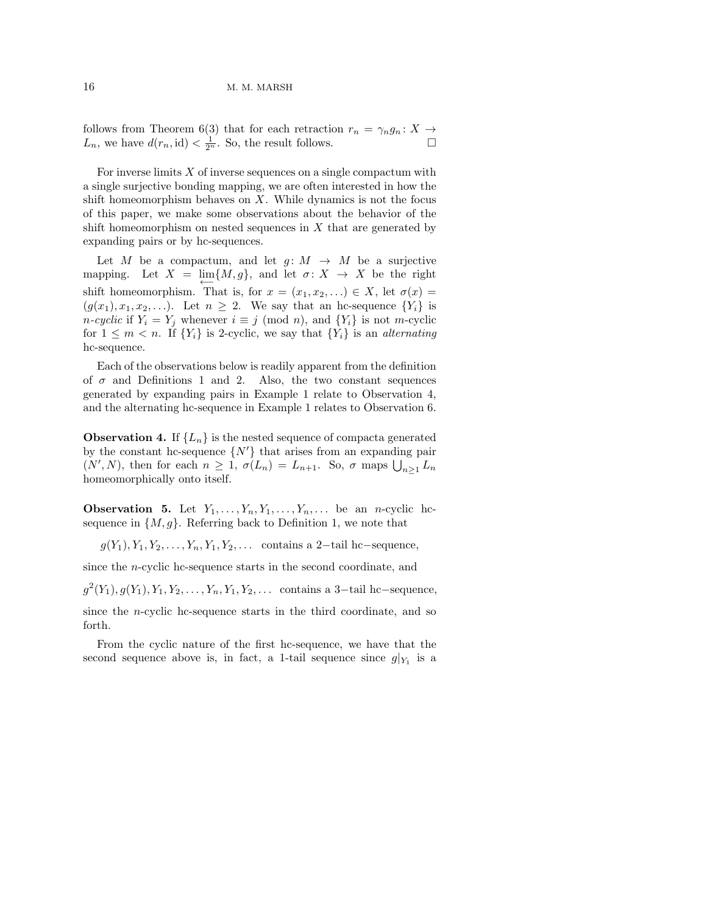follows from Theorem 6(3) that for each retraction  $r_n = \gamma_n g_n : X \to$  $L_n$ , we have  $d(r_n, id) < \frac{1}{2^n}$ . So, the result follows.

For inverse limits  $X$  of inverse sequences on a single compactum with a single surjective bonding mapping, we are often interested in how the shift homeomorphism behaves on  $X$ . While dynamics is not the focus of this paper, we make some observations about the behavior of the shift homeomorphism on nested sequences in  $X$  that are generated by expanding pairs or by hc-sequences.

Let  $M$  be a compactum, and let  $g: M \rightarrow M$  be a surjective mapping. Let  $X = \lim_{\longleftarrow} \{M, g\}$ , and let  $\sigma: X \to X$  be the right shift homeomorphism. That is, for  $x = (x_1, x_2, ...) \in X$ , let  $\sigma(x) =$  $(g(x_1), x_1, x_2, \ldots)$ . Let  $n \geq 2$ . We say that an hc-sequence  $\{Y_i\}$  is *n-cyclic* if  $Y_i = Y_j$  whenever  $i \equiv j \pmod{n}$ , and  $\{Y_i\}$  is not *m*-cyclic for  $1 \leq m < n$ . If  $\{Y_i\}$  is 2-cyclic, we say that  $\{Y_i\}$  is an *alternating* hc-sequence.

Each of the observations below is readily apparent from the definition of  $\sigma$  and Definitions 1 and 2. Also, the two constant sequences generated by expanding pairs in Example 1 relate to Observation 4, and the alternating hc-sequence in Example 1 relates to Observation 6.

**Observation 4.** If  ${L_n}$  is the nested sequence of compacta generated by the constant hc-sequence  $\{N'\}$  that arises from an expanding pair  $(N', N)$ , then for each  $n \geq 1$ ,  $\sigma(L_n) = L_{n+1}$ . So,  $\sigma$  maps  $\bigcup_{n \geq 1} L_n$ homeomorphically onto itself.

**Observation 5.** Let  $Y_1, \ldots, Y_n, Y_1, \ldots, Y_n, \ldots$  be an *n*-cyclic hcsequence in  $\{M, g\}$ . Referring back to Definition 1, we note that

 $g(Y_1), Y_1, Y_2, \ldots, Y_n, Y_1, Y_2, \ldots$  contains a 2-tail hc–sequence,

since the n-cyclic hc-sequence starts in the second coordinate, and

 $g^{2}(Y_{1}), g(Y_{1}), Y_{1}, Y_{2}, \ldots, Y_{n}, Y_{1}, Y_{2}, \ldots$  contains a 3-tail hc-sequence, since the n-cyclic hc-sequence starts in the third coordinate, and so forth.

From the cyclic nature of the first hc-sequence, we have that the second sequence above is, in fact, a 1-tail sequence since  $g|_{Y_1}$  is a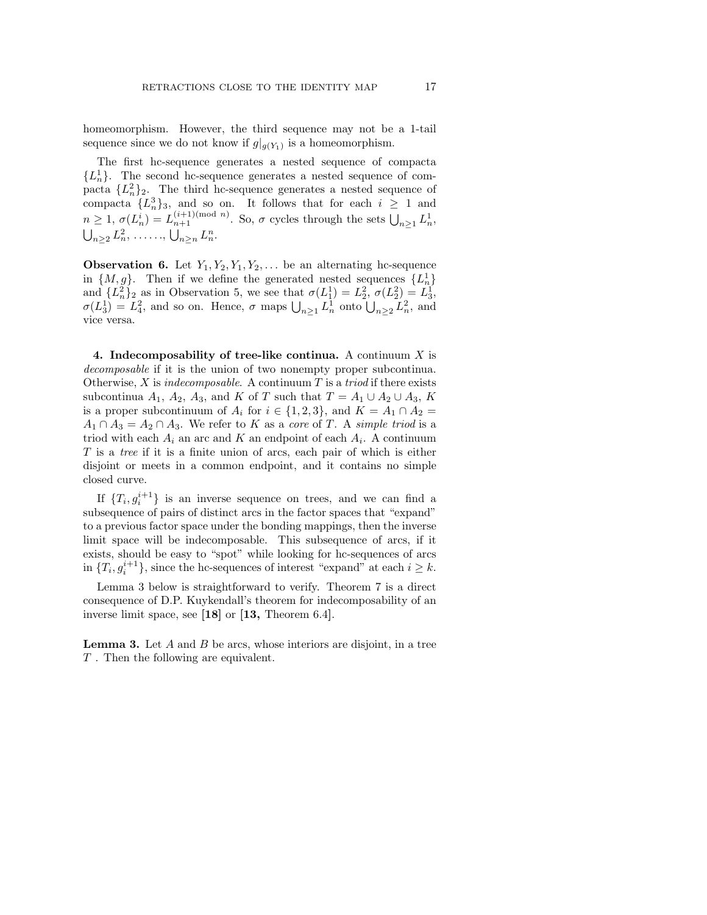homeomorphism. However, the third sequence may not be a 1-tail sequence since we do not know if  $g|_{g(Y_1)}$  is a homeomorphism.

The first hc-sequence generates a nested sequence of compacta  ${L_n^1}$ . The second hc-sequence generates a nested sequence of compacta  $\{L_n^2\}_2$ . The third hc-sequence generates a nested sequence of compacta  $\{L_n^3\}_3$ , and so on. It follows that for each  $i \geq 1$  and  $n \geq 1, \sigma(L_n^i) = L_{n+1}^{(i+1) \text{ (mod } n)}$ . So,  $\sigma$  cycles through the sets  $\bigcup_{n \geq 1} L_n^1$ ,  $\bigcup_{n\geq 2} L_n^2, \ldots, \bigcup_{n\geq n} L_n^n.$ 

**Observation 6.** Let  $Y_1, Y_2, Y_1, Y_2, \ldots$  be an alternating hc-sequence in  $\{M, g\}$ . Then if we define the generated nested sequences  $\{L_n^1\}$ and  $\{L_n^2\}_2$  as in Observation 5, we see that  $\sigma(L_1^1) = L_2^2$ ,  $\sigma(L_2^2) = L_3^1$ ,  $\sigma(L_3^1) = L_4^2$ , and so on. Hence,  $\sigma$  maps  $\bigcup_{n\geq 1} L_n^1$  onto  $\bigcup_{n\geq 2} L_n^2$ , and vice versa.

4. Indecomposability of tree-like continua. A continuum  $X$  is decomposable if it is the union of two nonempty proper subcontinua. Otherwise,  $X$  is indecomposable. A continuum  $T$  is a triod if there exists subcontinua  $A_1$ ,  $A_2$ ,  $A_3$ , and K of T such that  $T = A_1 \cup A_2 \cup A_3$ , K is a proper subcontinuum of  $A_i$  for  $i \in \{1,2,3\}$ , and  $K = A_1 \cap A_2 =$  $A_1 \cap A_3 = A_2 \cap A_3$ . We refer to K as a core of T. A simple triod is a triod with each  $A_i$  an arc and K an endpoint of each  $A_i$ . A continuum T is a tree if it is a finite union of arcs, each pair of which is either disjoint or meets in a common endpoint, and it contains no simple closed curve.

If  $\{T_i, g_i^{i+1}\}\$ is an inverse sequence on trees, and we can find a subsequence of pairs of distinct arcs in the factor spaces that "expand" to a previous factor space under the bonding mappings, then the inverse limit space will be indecomposable. This subsequence of arcs, if it exists, should be easy to "spot" while looking for hc-sequences of arcs in  $\{T_i, g_i^{i+1}\}$ , since the hc-sequences of interest "expand" at each  $i \geq k$ .

Lemma 3 below is straightforward to verify. Theorem 7 is a direct consequence of D.P. Kuykendall's theorem for indecomposability of an inverse limit space, see [18] or [13, Theorem 6.4].

**Lemma 3.** Let  $A$  and  $B$  be arcs, whose interiors are disjoint, in a tree T . Then the following are equivalent.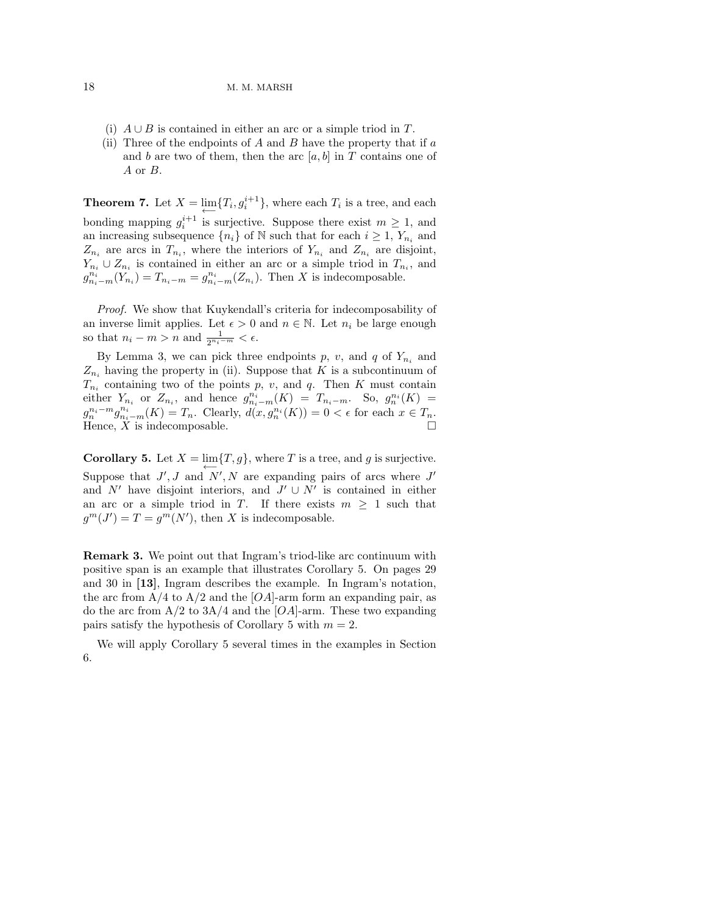- (i)  $A \cup B$  is contained in either an arc or a simple triod in T.
- (ii) Three of the endpoints of A and B have the property that if  $\alpha$ and b are two of them, then the arc  $[a, b]$  in T contains one of A or B.

**Theorem 7.** Let  $X = \lim_{i \to \infty} \{T_i, g_i^{i+1}\}$ , where each  $T_i$  is a tree, and each bonding mapping  $g_i^{i+1}$  is surjective. Suppose there exist  $m \geq 1$ , and an increasing subsequence  $\{n_i\}$  of N such that for each  $i \geq 1$ ,  $Y_{n_i}$  and  $Z_{n_i}$  are arcs in  $T_{n_i}$ , where the interiors of  $Y_{n_i}$  and  $Z_{n_i}$  are disjoint,  $Y_{n_i} \cup Z_{n_i}$  is contained in either an arc or a simple triod in  $T_{n_i}$ , and  $g_{n_i-m}^{n_i}(Y_{n_i})=T_{n_i-m}=g_{n_i-m}^{n_i}(Z_{n_i}).$  Then X is indecomposable.

Proof. We show that Kuykendall's criteria for indecomposability of an inverse limit applies. Let  $\epsilon > 0$  and  $n \in \mathbb{N}$ . Let  $n_i$  be large enough so that  $n_i - m > n$  and  $\frac{1}{2^{n_i-m}} < \epsilon$ .

By Lemma 3, we can pick three endpoints p, v, and q of  $Y_{n_i}$  and  $Z_{n_i}$  having the property in (ii). Suppose that K is a subcontinuum of  $T_{n_i}$  containing two of the points p, v, and q. Then K must contain either  $Y_{n_i}$  or  $Z_{n_i}$ , and hence  $g_{n_i-m}^{n_i}(K) = T_{n_i-m}$ . So,  $g_n^{n_i}(K) =$  $g_n^{n_i-m}g_{n_i-m}^{n_i}(K) = T_n$ . Clearly,  $d(x,g_n^{n_i}(K)) = 0 < \epsilon$  for each  $x \in T_n$ . Hence,  $\overline{X}$  is indecomposable.

**Corollary 5.** Let  $X = \lim_{x \to 0} \{T, g\}$ , where T is a tree, and g is surjective. Suppose that  $J', J$  and  $N', N$  are expanding pairs of arcs where  $J'$ and  $N'$  have disjoint interiors, and  $J' \cup N'$  is contained in either an arc or a simple triod in T. If there exists  $m \geq 1$  such that  $g^m(J') = T = g^m(N')$ , then X is indecomposable.

Remark 3. We point out that Ingram's triod-like arc continuum with positive span is an example that illustrates Corollary 5. On pages 29 and 30 in [13], Ingram describes the example. In Ingram's notation, the arc from  $A/4$  to  $A/2$  and the  $[OA]$ -arm form an expanding pair, as do the arc from  $A/2$  to  $3A/4$  and the [OA]-arm. These two expanding pairs satisfy the hypothesis of Corollary 5 with  $m = 2$ .

We will apply Corollary 5 several times in the examples in Section 6.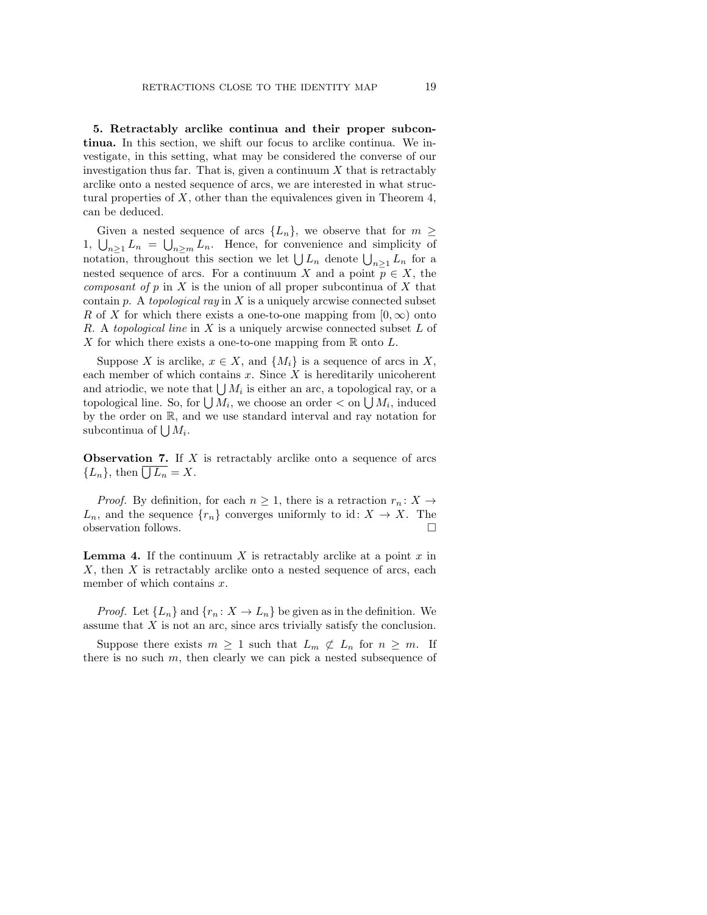5. Retractably arclike continua and their proper subcontinua. In this section, we shift our focus to arclike continua. We investigate, in this setting, what may be considered the converse of our investigation thus far. That is, given a continuum  $X$  that is retractably arclike onto a nested sequence of arcs, we are interested in what structural properties of  $X$ , other than the equivalences given in Theorem 4, can be deduced.

Given a nested sequence of arcs  $\{L_n\}$ , we observe that for  $m \geq$ 1,  $\bigcup_{n\geq 1} L_n = \bigcup_{n\geq m} L_n$ . Hence, for convenience and simplicity of notation, throughout this section we let  $\bigcup L_n$  denote  $\bigcup_{n\geq 1} L_n$  for a nested sequence of arcs. For a continuum X and a point  $\overline{p} \in X$ , the *composant of p* in X is the union of all proper subcontinua of X that contain p. A topological ray in X is a uniquely arcwise connected subset R of X for which there exists a one-to-one mapping from  $[0, \infty)$  onto R. A topological line in  $X$  is a uniquely arcwise connected subset  $L$  of X for which there exists a one-to-one mapping from  $\mathbb R$  onto  $L$ .

Suppose X is arclike,  $x \in X$ , and  $\{M_i\}$  is a sequence of arcs in X, each member of which contains  $x$ . Since  $X$  is hereditarily unicoherent and atriodic, we note that  $\bigcup M_i$  is either an arc, a topological ray, or a topological line. So, for  $\bigcup M_i$ , we choose an order  $\lt$  on  $\bigcup M_i$ , induced by the order on R, and we use standard interval and ray notation for subcontinua of  $\bigcup M_i$ .

**Observation 7.** If  $X$  is retractably arclike onto a sequence of arcs  ${L_n}$ , then  $\bigcup L_n = X$ .

*Proof.* By definition, for each  $n \geq 1$ , there is a retraction  $r_n: X \to Y$  $L_n$ , and the sequence  $\{r_n\}$  converges uniformly to id:  $X \to X$ . The observation follows.  $\Box$ 

**Lemma 4.** If the continuum X is retractably arclike at a point  $x$  in  $X$ , then  $X$  is retractably arclike onto a nested sequence of arcs, each member of which contains  $x$ .

*Proof.* Let  $\{L_n\}$  and  $\{r_n: X \to L_n\}$  be given as in the definition. We assume that  $X$  is not an arc, since arcs trivially satisfy the conclusion.

Suppose there exists  $m \geq 1$  such that  $L_m \not\subset L_n$  for  $n \geq m$ . If there is no such  $m$ , then clearly we can pick a nested subsequence of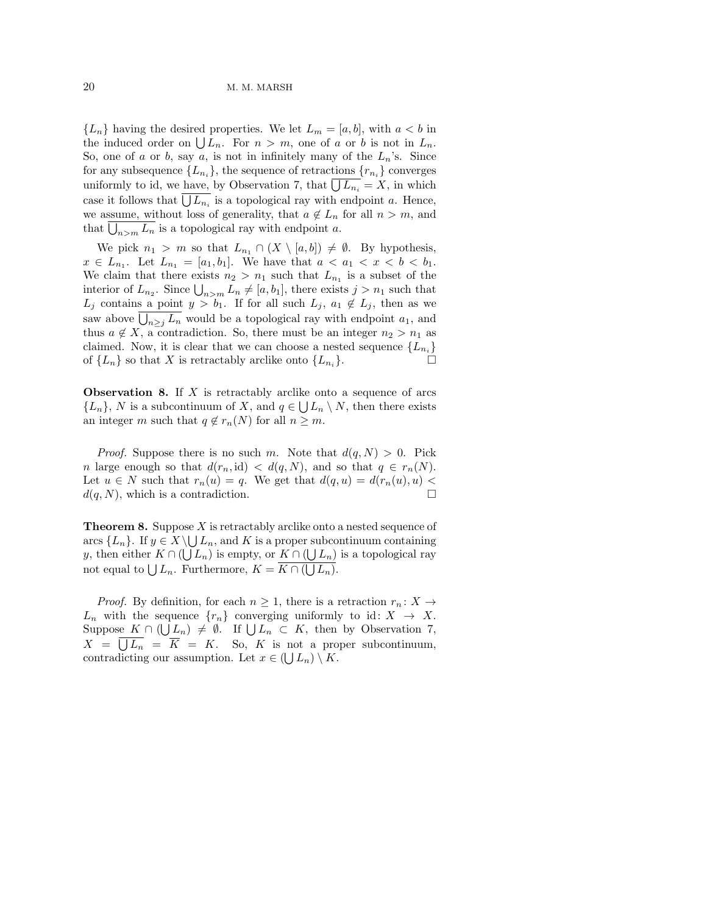${L_n}$  having the desired properties. We let  $L_m = [a, b]$ , with  $a < b$  in the induced order on  $\bigcup L_n$ . For  $n > m$ , one of a or b is not in  $L_n$ . So, one of a or b, say a, is not in infinitely many of the  $L_n$ 's. Since for any subsequence  $\{L_{n_i}\}$ , the sequence of retractions  $\{r_{n_i}\}$  converges uniformly to id, we have, by Observation 7, that  $\bigcup L_{n_i} = X$ , in which case it follows that  $\bigcup L_{n_i}$  is a topological ray with endpoint a. Hence, we assume, without loss of generality, that  $a \notin L_n$  for all  $n > m$ , and that  $\bigcup_{n>m} L_n$  is a topological ray with endpoint a.

We pick  $n_1 > m$  so that  $L_{n_1} \cap (X \setminus [a, b]) \neq \emptyset$ . By hypothesis,  $x \in L_{n_1}$ . Let  $L_{n_1} = [a_1, b_1]$ . We have that  $a < a_1 < x < b < b_1$ . We claim that there exists  $n_2 > n_1$  such that  $L_{n_1}$  is a subset of the interior of  $L_{n_2}$ . Since  $\bigcup_{n>m} L_n \neq [a, b_1]$ , there exists  $j > n_1$  such that  $L_j$  contains a point  $y > b_1$ . If for all such  $L_j$ ,  $a_1 \notin L_j$ , then as we saw above  $\bigcup_{n\geq j} L_n$  would be a topological ray with endpoint  $a_1$ , and thus  $a \notin X$ , a contradiction. So, there must be an integer  $n_2 > n_1$  as claimed. Now, it is clear that we can choose a nested sequence  $\{L_{n_i}\}$ of  $\{L_n\}$  so that X is retractably arclike onto  $\{L_{n_i}\}.$  $\}$ .

**Observation 8.** If  $X$  is retractably arclike onto a sequence of arcs  $\{L_n\}, N$  is a subcontinuum of X, and  $q \in \bigcup L_n \setminus N$ , then there exists an integer m such that  $q \notin r_n(N)$  for all  $n \geq m$ .

*Proof.* Suppose there is no such m. Note that  $d(q, N) > 0$ . Pick n large enough so that  $d(r_n, id) < d(q, N)$ , and so that  $q \in r_n(N)$ . Let  $u \in N$  such that  $r_n(u) = q$ . We get that  $d(q, u) = d(r_n(u), u)$  $d(q, N)$ , which is a contradiction.

**Theorem 8.** Suppose  $X$  is retractably arclike onto a nested sequence of arcs  $\{L_n\}$ . If  $y \in X \setminus \bigcup L_n$ , and K is a proper subcontinuum containing y, then either  $K \cap (\bigcup L_n)$  is empty, or  $K \cap (\bigcup L_n)$  is a topological ray not equal to  $\bigcup L_n$ . Furthermore,  $K = K \cap (\bigcup L_n)$ .

*Proof.* By definition, for each  $n \geq 1$ , there is a retraction  $r_n: X \to Y$  $L_n$  with the sequence  $\{r_n\}$  converging uniformly to id:  $X \to X$ . Suppose  $K \cap (\bigcup L_n) \neq \emptyset$ . If  $\bigcup L_n \subset K$ , then by Observation 7,  $X = \bigcup L_n = \overline{K} = K$ . So, K is not a proper subcontinuum, contradicting our assumption. Let  $x \in (\bigcup L_n) \setminus K$ .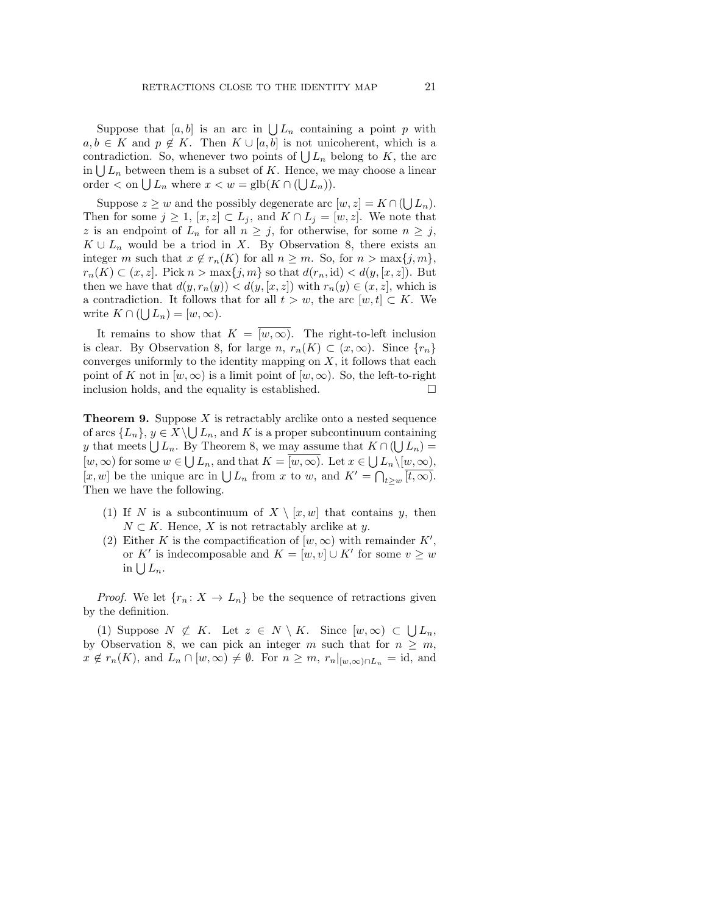Suppose that  $[a, b]$  is an arc in  $\bigcup L_n$  containing a point p with  $a, b \in K$  and  $p \notin K$ . Then  $K \cup [a, b]$  is not unicoherent, which is a contradiction. So, whenever two points of  $\bigcup L_n$  belong to K, the arc in  $\bigcup L_n$  between them is a subset of K. Hence, we may choose a linear order  $\langle$  on  $\bigcup L_n$  where  $x \langle w = \text{glb}(K \cap (\bigcup L_n)).$ 

Suppose  $z \geq w$  and the possibly degenerate arc  $[w, z] = K \cap (\bigcup L_n)$ . Then for some  $j \geq 1$ ,  $[x, z] \subset L_j$ , and  $K \cap L_j = [w, z]$ . We note that z is an endpoint of  $L_n$  for all  $n \geq j$ , for otherwise, for some  $n \geq j$ ,  $K \cup L_n$  would be a triod in X. By Observation 8, there exists an integer m such that  $x \notin r_n(K)$  for all  $n \geq m$ . So, for  $n > \max\{j, m\}$ ,  $r_n(K) \subset (x, z]$ . Pick  $n > \max\{j, m\}$  so that  $d(r_n, id) < d(y, [x, z])$ . But then we have that  $d(y, r_n(y)) < d(y, [x, z])$  with  $r_n(y) \in (x, z]$ , which is a contradiction. It follows that for all  $t > w$ , the arc  $[w, t] \subset K$ . We write  $K \cap (\bigcup L_n) = [w, \infty)$ .

It remains to show that  $K = \overline{(w, \infty)}$ . The right-to-left inclusion is clear. By Observation 8, for large  $n, r_n(K) \subset (x, \infty)$ . Since  $\{r_n\}$ converges uniformly to the identity mapping on  $X$ , it follows that each point of K not in  $[w, \infty)$  is a limit point of  $[w, \infty)$ . So, the left-to-right inclusion holds, and the equality is established.  $\Box$ 

**Theorem 9.** Suppose  $X$  is retractably arclike onto a nested sequence of arcs  $\{L_n\}, y \in X \setminus \bigcup L_n$ , and K is a proper subcontinuum containing y that meets  $\bigcup L_n$ . By Theorem 8, we may assume that  $K \cap (\bigcup L_n) =$  $[w, \infty)$  for some  $w \in \bigcup L_n$ , and that  $K = [w, \infty)$ . Let  $x \in \bigcup L_n \setminus [w, \infty)$ , [x, w] be the unique arc in  $\bigcup L_n$  from x to w, and  $K' = \bigcap_{t \geq w} \overline{[t, \infty)}$ . Then we have the following.

- (1) If N is a subcontinuum of  $X \setminus [x, w]$  that contains y, then  $N \subset K$ . Hence, X is not retractably arclike at y.
- (2) Either K is the compactification of  $[w, \infty)$  with remainder K', or K' is indecomposable and  $K = [w, v] \cup K'$  for some  $v \geq w$ in  $\bigcup L_n$ .

*Proof.* We let  $\{r_n: X \to L_n\}$  be the sequence of retractions given by the definition.

(1) Suppose  $N \not\subset K$ . Let  $z \in N \setminus K$ . Since  $[w, \infty) \subset \bigcup L_n$ , by Observation 8, we can pick an integer m such that for  $n \geq m$ ,  $x \notin r_n(K)$ , and  $L_n \cap [w, \infty) \neq \emptyset$ . For  $n \geq m$ ,  $r_n|_{[w, \infty) \cap L_n} = id$ , and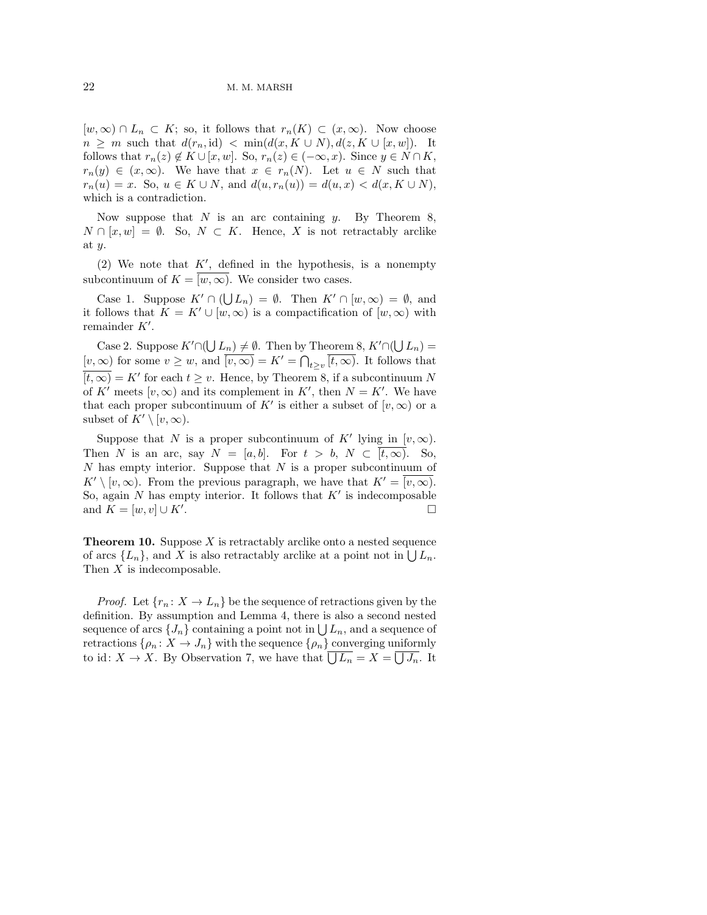$[w,\infty) \cap L_n \subset K$ ; so, it follows that  $r_n(K) \subset (x,\infty)$ . Now choose  $n \geq m$  such that  $d(r_n, id) < \min(d(x, K \cup N), d(z, K \cup [x, w]).$  It follows that  $r_n(z) \notin K \cup [x, w]$ . So,  $r_n(z) \in (-\infty, x)$ . Since  $y \in N \cap K$ ,  $r_n(y) \in (x,\infty)$ . We have that  $x \in r_n(N)$ . Let  $u \in N$  such that  $r_n(u) = x$ . So,  $u \in K \cup N$ , and  $d(u, r_n(u)) = d(u, x) < d(x, K \cup N)$ , which is a contradiction.

Now suppose that  $N$  is an arc containing  $y$ . By Theorem 8,  $N \cap [x, w] = \emptyset$ . So,  $N \subset K$ . Hence, X is not retractably arclike at y.

(2) We note that  $K'$ , defined in the hypothesis, is a nonempty subcontinuum of  $K = \overline{[w, \infty)}$ . We consider two cases.

Case 1. Suppose  $K' \cap (\bigcup L_n) = \emptyset$ . Then  $K' \cap [w, \infty) = \emptyset$ , and it follows that  $K = K' \cup [w, \infty)$  is a compactification of  $[w, \infty)$  with remainder  $K'$ .

Case 2. Suppose  $K' \cap (\bigcup L_n) \neq \emptyset$ . Then by Theorem 8,  $K' \cap (\bigcup L_n) =$  $[v, \infty)$  for some  $v \geq w$ , and  $\overline{(v, \infty)} = K' = \bigcap_{t \geq v} \overline{(t, \infty)}$ . It follows that  $\overline{(t,\infty)} = K'$  for each  $t \geq v$ . Hence, by Theorem 8, if a subcontinuum N of K' meets  $[v, \infty)$  and its complement in K', then  $N = K'$ . We have that each proper subcontinuum of K' is either a subset of  $[v, \infty)$  or a subset of  $K' \setminus [v, \infty)$ .

Suppose that N is a proper subcontinuum of K' lying in  $[v, \infty)$ . Then N is an arc, say  $N = [a, b]$ . For  $t > b$ ,  $N \subset [t, \infty)$ . So,  $N$  has empty interior. Suppose that  $N$  is a proper subcontinuum of  $K' \setminus [v, \infty)$ . From the previous paragraph, we have that  $K' = [v, \infty)$ . So, again  $N$  has empty interior. It follows that  $K'$  is indecomposable and  $K = [w, v] \cup K'.$ .

**Theorem 10.** Suppose  $X$  is retractably arclike onto a nested sequence of arcs  $\{L_n\}$ , and X is also retractably arclike at a point not in  $\bigcup L_n$ . Then  $X$  is indecomposable.

*Proof.* Let  $\{r_n: X \to L_n\}$  be the sequence of retractions given by the definition. By assumption and Lemma 4, there is also a second nested sequence of arcs  $\{J_n\}$  containing a point not in  $\bigcup L_n$ , and a sequence of retractions  $\{\rho_n: X \to J_n\}$  with the sequence  $\{\rho_n\}$  converging uniformly to id:  $X \to X$ . By Observation 7, we have that  $\bigcup L_n = X = \bigcup J_n$ . It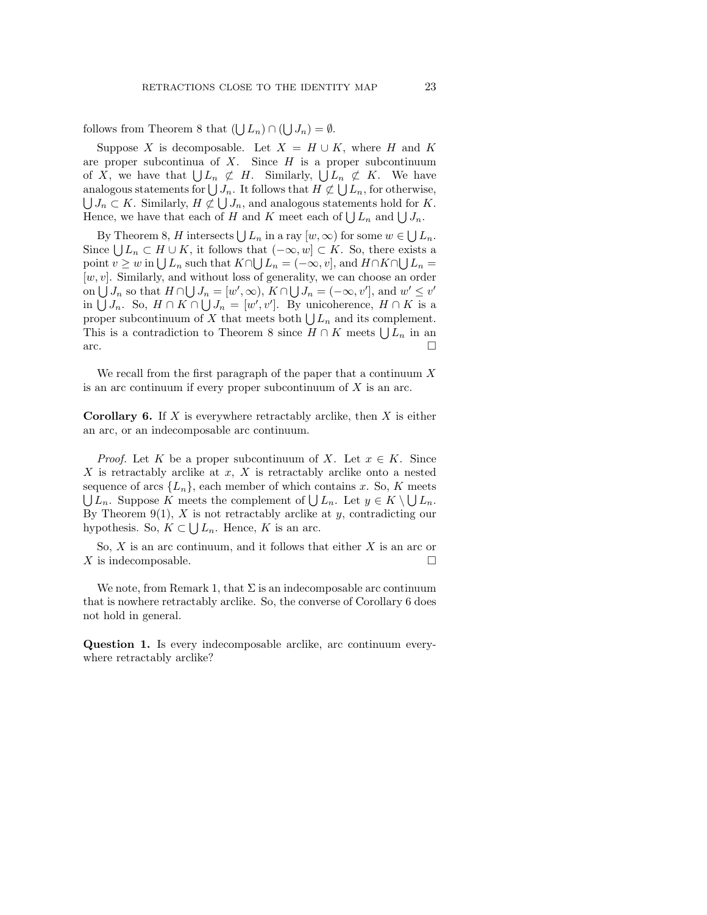follows from Theorem 8 that  $(\bigcup L_n) \cap (\bigcup J_n) = \emptyset$ .

Suppose X is decomposable. Let  $X = H \cup K$ , where H and K are proper subcontinua of  $X$ . Since  $H$  is a proper subcontinuum of X, we have that  $\bigcup L_n \not\subset H$ . Similarly,  $\bigcup L_n \not\subset K$ . We have analogous statements for  $\bigcup J_n$ . It follows that  $H \not\subset \bigcup L_n$ , for otherwise,  $\bigcup J_n \subset K$ . Similarly,  $H \not\subset \bigcup J_n$ , and analogous statements hold for K. Hence, we have that each of H and K meet each of  $\bigcup L_n$  and  $\bigcup J_n$ .

By Theorem 8, H intersects  $\bigcup L_n$  in a ray  $[w, \infty)$  for some  $w \in \bigcup L_n$ . Since  $\bigcup L_n \subset H \cup K$ , it follows that  $(-\infty, w] \subset K$ . So, there exists a point  $v \geq w$  in  $\bigcup L_n$  such that  $K \cap \bigcup L_n = (-\infty, v]$ , and  $H \cap K \cap \bigcup L_n =$  $[w, v]$ . Similarly, and without loss of generality, we can choose an order on  $\bigcup J_n$  so that  $H \cap \bigcup J_n = [w', \infty), K \cap \bigcup J_n = (-\infty, v'],$  and  $w' \leq v'$ in  $\bigcup J_n$ . So,  $H \cap K \cap \bigcup J_n = [w', v']$ . By unicoherence,  $H \cap K$  is a proper subcontinuum of X that meets both  $\bigcup L_n$  and its complement. This is a contradiction to Theorem 8 since  $H \cap K$  meets  $\bigcup L_n$  in an  $\Box$  arc.

We recall from the first paragraph of the paper that a continuum  $X$ is an arc continuum if every proper subcontinuum of  $X$  is an arc.

**Corollary 6.** If X is everywhere retractably arclike, then X is either an arc, or an indecomposable arc continuum.

*Proof.* Let K be a proper subcontinuum of X. Let  $x \in K$ . Since  $X$  is retractably arclike at  $x$ ,  $X$  is retractably arclike onto a nested sequence of arcs  $\{L_n\}$ , each member of which contains x. So, K meets  $\bigcup L_n$ . Suppose K meets the complement of  $\bigcup L_n$ . Let  $y \in K \setminus \bigcup L_n$ . By Theorem 9(1),  $X$  is not retractably arclike at  $y$ , contradicting our hypothesis. So,  $K \subset \bigcup L_n$ . Hence, K is an arc.

So,  $X$  is an arc continuum, and it follows that either  $X$  is an arc or  $X$  is indecomposable.

We note, from Remark 1, that  $\Sigma$  is an indecomposable arc continuum that is nowhere retractably arclike. So, the converse of Corollary 6 does not hold in general.

Question 1. Is every indecomposable arclike, arc continuum everywhere retractably arclike?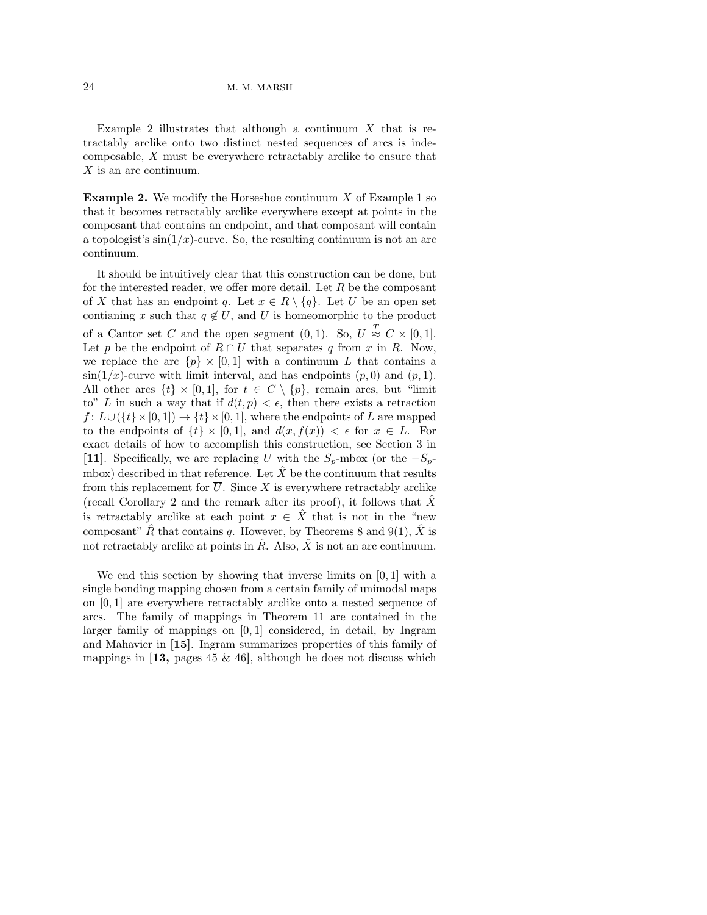Example 2 illustrates that although a continuum  $X$  that is retractably arclike onto two distinct nested sequences of arcs is indecomposable, X must be everywhere retractably arclike to ensure that X is an arc continuum.

**Example 2.** We modify the Horseshoe continuum  $X$  of Example 1 so that it becomes retractably arclike everywhere except at points in the composant that contains an endpoint, and that composant will contain a topologist's  $\sin(1/x)$ -curve. So, the resulting continuum is not an arc continuum.

It should be intuitively clear that this construction can be done, but for the interested reader, we offer more detail. Let  $R$  be the composant of X that has an endpoint q. Let  $x \in R \setminus \{q\}$ . Let U be an open set contianing x such that  $q \notin \overline{U}$ , and U is homeomorphic to the product of a Cantor set C and the open segment  $(0,1)$ . So,  $\overline{U} \stackrel{T}{\approx} C \times [0,1]$ . Let p be the endpoint of  $R \cap \overline{U}$  that separates q from x in R. Now, we replace the arc  $\{p\} \times [0,1]$  with a continuum L that contains a  $\sin(1/x)$ -curve with limit interval, and has endpoints  $(p, 0)$  and  $(p, 1)$ . All other arcs  $\{t\} \times [0,1]$ , for  $t \in C \setminus \{p\}$ , remain arcs, but "limit" to" L in such a way that if  $d(t, p) < \epsilon$ , then there exists a retraction  $f: L\cup (\{t\}\times [0, 1]) \to \{t\}\times [0, 1]$ , where the endpoints of L are mapped to the endpoints of  $\{t\} \times [0,1]$ , and  $d(x, f(x)) < \epsilon$  for  $x \in L$ . For exact details of how to accomplish this construction, see Section 3 in [11]. Specifically, we are replacing  $\overline{U}$  with the  $S_p$ -mbox (or the  $-S_p$ mbox) described in that reference. Let  $\hat{X}$  be the continuum that results from this replacement for  $\overline{U}$ . Since X is everywhere retractably arclike (recall Corollary 2 and the remark after its proof), it follows that  $\overline{X}$ is retractably arclike at each point  $x \in \hat{X}$  that is not in the "new composant" R that contains q. However, by Theorems 8 and 9(1), X is not retractably arclike at points in  $\hat{R}$ . Also,  $\hat{X}$  is not an arc continuum.

We end this section by showing that inverse limits on  $[0, 1]$  with a single bonding mapping chosen from a certain family of unimodal maps on [0, 1] are everywhere retractably arclike onto a nested sequence of arcs. The family of mappings in Theorem 11 are contained in the larger family of mappings on  $[0, 1]$  considered, in detail, by Ingram and Mahavier in [15]. Ingram summarizes properties of this family of mappings in  $[13, \text{ pages } 45 \& 46]$ , although he does not discuss which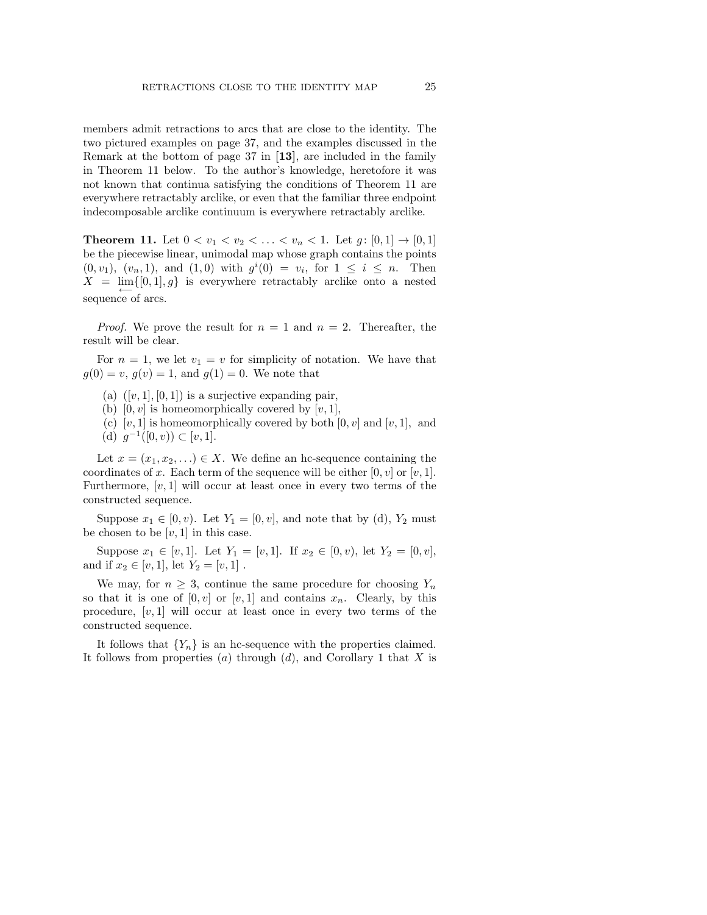members admit retractions to arcs that are close to the identity. The two pictured examples on page 37, and the examples discussed in the Remark at the bottom of page 37 in [13], are included in the family in Theorem 11 below. To the author's knowledge, heretofore it was not known that continua satisfying the conditions of Theorem 11 are everywhere retractably arclike, or even that the familiar three endpoint indecomposable arclike continuum is everywhere retractably arclike.

**Theorem 11.** Let  $0 < v_1 < v_2 < \ldots < v_n < 1$ . Let  $g: [0,1] \to [0,1]$ be the piecewise linear, unimodal map whose graph contains the points  $(0, v_1), (v_n, 1), \text{ and } (1, 0) \text{ with } g^i(0) = v_i, \text{ for } 1 \leq i \leq n. \text{ Then}$  $X = \lim_{\longleftarrow} \{ [0,1], g \}$  is everywhere retractably arclike onto a nested sequence of arcs.

*Proof.* We prove the result for  $n = 1$  and  $n = 2$ . Thereafter, the result will be clear.

For  $n = 1$ , we let  $v_1 = v$  for simplicity of notation. We have that  $g(0) = v, g(v) = 1$ , and  $g(1) = 0$ . We note that

- (a)  $([v, 1], [0, 1])$  is a surjective expanding pair,
- (b)  $[0, v]$  is homeomorphically covered by  $[v, 1]$ ,
- (c) [v, 1] is homeomorphically covered by both  $[0, v]$  and  $[v, 1]$ , and (d)  $g^{-1}([0, v)) \subset [v, 1].$

Let  $x = (x_1, x_2, ...) \in X$ . We define an hc-sequence containing the coordinates of x. Each term of the sequence will be either  $[0, v]$  or  $[v, 1]$ . Furthermore,  $[v, 1]$  will occur at least once in every two terms of the constructed sequence.

Suppose  $x_1 \in [0, v)$ . Let  $Y_1 = [0, v]$ , and note that by (d),  $Y_2$  must be chosen to be  $[v, 1]$  in this case.

Suppose  $x_1 \in [v, 1]$ . Let  $Y_1 = [v, 1]$ . If  $x_2 \in [0, v)$ , let  $Y_2 = [0, v]$ , and if  $x_2 \in [v, 1]$ , let  $Y_2 = [v, 1]$ .

We may, for  $n \geq 3$ , continue the same procedure for choosing  $Y_n$ so that it is one of  $[0, v]$  or  $[v, 1]$  and contains  $x_n$ . Clearly, by this procedure,  $[v, 1]$  will occur at least once in every two terms of the constructed sequence.

It follows that  ${Y_n}$  is an hc-sequence with the properties claimed. It follows from properties (a) through  $(d)$ , and Corollary 1 that X is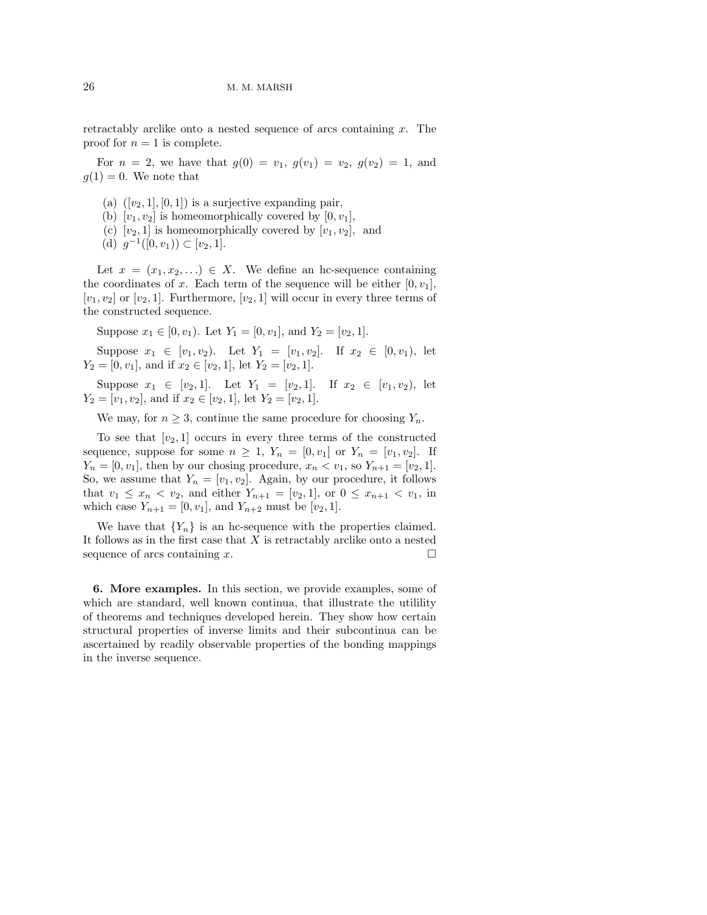retractably arclike onto a nested sequence of arcs containing  $x$ . The proof for  $n = 1$  is complete.

For  $n = 2$ , we have that  $g(0) = v_1, g(v_1) = v_2, g(v_2) = 1$ , and  $q(1) = 0$ . We note that

- (a)  $([v_2, 1], [0, 1])$  is a surjective expanding pair,
- (b)  $[v_1, v_2]$  is homeomorphically covered by  $[0, v_1]$ ,
- (c)  $[v_2, 1]$  is homeomorphically covered by  $[v_1, v_2]$ , and
- (d)  $g^{-1}([0, v_1)) \subset [v_2, 1].$

Let  $x = (x_1, x_2, ...) \in X$ . We define an hc-sequence containing the coordinates of x. Each term of the sequence will be either  $[0, v_1]$ ,  $[v_1, v_2]$  or  $[v_2, 1]$ . Furthermore,  $[v_2, 1]$  will occur in every three terms of the constructed sequence.

Suppose  $x_1 \in [0, v_1)$ . Let  $Y_1 = [0, v_1]$ , and  $Y_2 = [v_2, 1]$ .

Suppose  $x_1 \in [v_1, v_2]$ . Let  $Y_1 = [v_1, v_2]$ . If  $x_2 \in [0, v_1)$ , let  $Y_2 = [0, v_1]$ , and if  $x_2 \in [v_2, 1]$ , let  $Y_2 = [v_2, 1]$ .

Suppose  $x_1 \in [v_2, 1]$ . Let  $Y_1 = [v_2, 1]$ . If  $x_2 \in [v_1, v_2)$ , let  $Y_2 = [v_1, v_2]$ , and if  $x_2 \in [v_2, 1]$ , let  $Y_2 = [v_2, 1]$ .

We may, for  $n \geq 3$ , continue the same procedure for choosing  $Y_n$ .

To see that  $[v_2, 1]$  occurs in every three terms of the constructed sequence, suppose for some  $n \geq 1$ ,  $Y_n = [0, v_1]$  or  $Y_n = [v_1, v_2]$ . If  $Y_n = [0, v_1]$ , then by our chosing procedure,  $x_n < v_1$ , so  $Y_{n+1} = [v_2, 1]$ . So, we assume that  $Y_n = [v_1, v_2]$ . Again, by our procedure, it follows that  $v_1 \leq x_n < v_2$ , and either  $Y_{n+1} = [v_2, 1]$ , or  $0 \leq x_{n+1} < v_1$ , in which case  $Y_{n+1} = [0, v_1]$ , and  $Y_{n+2}$  must be  $[v_2, 1]$ .

We have that  ${Y_n}$  is an hc-sequence with the properties claimed. It follows as in the first case that  $X$  is retractably arclike onto a nested sequence of arcs containing x.  $\Box$ 

6. More examples. In this section, we provide examples, some of which are standard, well known continua, that illustrate the utilility of theorems and techniques developed herein. They show how certain structural properties of inverse limits and their subcontinua can be ascertained by readily observable properties of the bonding mappings in the inverse sequence.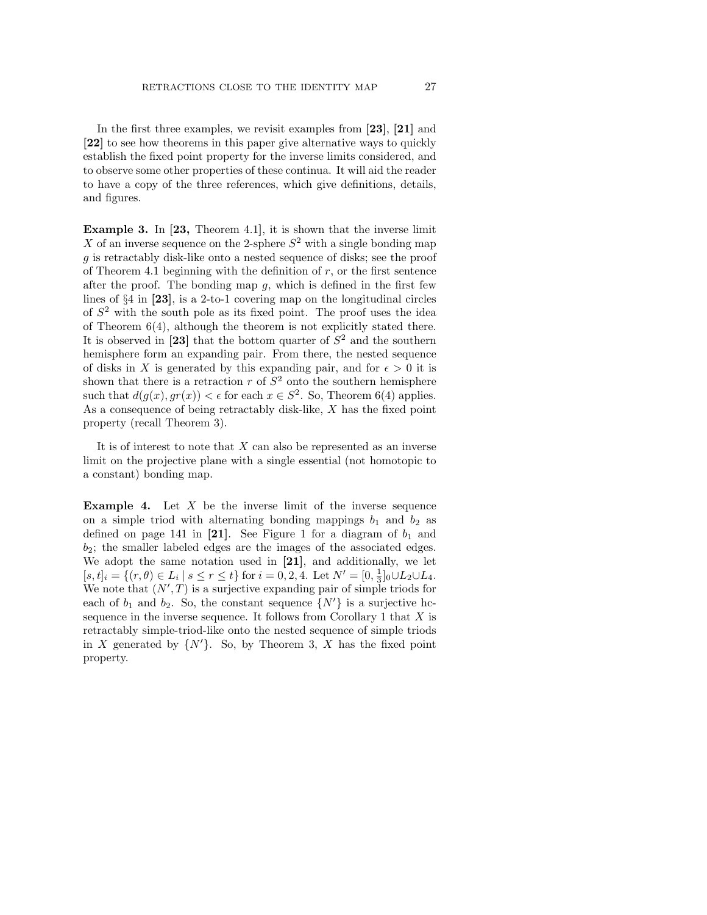In the first three examples, we revisit examples from [23], [21] and [22] to see how theorems in this paper give alternative ways to quickly establish the fixed point property for the inverse limits considered, and to observe some other properties of these continua. It will aid the reader to have a copy of the three references, which give definitions, details, and figures.

Example 3. In [23, Theorem 4.1], it is shown that the inverse limit X of an inverse sequence on the 2-sphere  $S^2$  with a single bonding map g is retractably disk-like onto a nested sequence of disks; see the proof of Theorem 4.1 beginning with the definition of  $r$ , or the first sentence after the proof. The bonding map  $g$ , which is defined in the first few lines of §4 in [23], is a 2-to-1 covering map on the longitudinal circles of  $S<sup>2</sup>$  with the south pole as its fixed point. The proof uses the idea of Theorem 6(4), although the theorem is not explicitly stated there. It is observed in [23] that the bottom quarter of  $S<sup>2</sup>$  and the southern hemisphere form an expanding pair. From there, the nested sequence of disks in X is generated by this expanding pair, and for  $\epsilon > 0$  it is shown that there is a retraction  $r$  of  $S^2$  onto the southern hemisphere such that  $d(g(x), gr(x)) < \epsilon$  for each  $x \in S^2$ . So, Theorem 6(4) applies. As a consequence of being retractably disk-like, X has the fixed point property (recall Theorem 3).

It is of interest to note that  $X$  can also be represented as an inverse limit on the projective plane with a single essential (not homotopic to a constant) bonding map.

**Example 4.** Let  $X$  be the inverse limit of the inverse sequence on a simple triod with alternating bonding mappings  $b_1$  and  $b_2$  as defined on page 141 in [21]. See Figure 1 for a diagram of  $b_1$  and  $b_2$ ; the smaller labeled edges are the images of the associated edges. We adopt the same notation used in [21], and additionally, we let  $[s, t]_i = \{(r, \theta) \in L_i \mid s \le r \le t\}$  for  $i = 0, 2, 4$ . Let  $N' = [0, \frac{1}{3}]_0 \cup L_2 \cup L_4$ . We note that  $(N',T)$  is a surjective expanding pair of simple triods for each of  $b_1$  and  $b_2$ . So, the constant sequence  $\{N'\}\$ is a surjective hcsequence in the inverse sequence. It follows from Corollary 1 that  $X$  is retractably simple-triod-like onto the nested sequence of simple triods in X generated by  $\{N'\}$ . So, by Theorem 3, X has the fixed point property.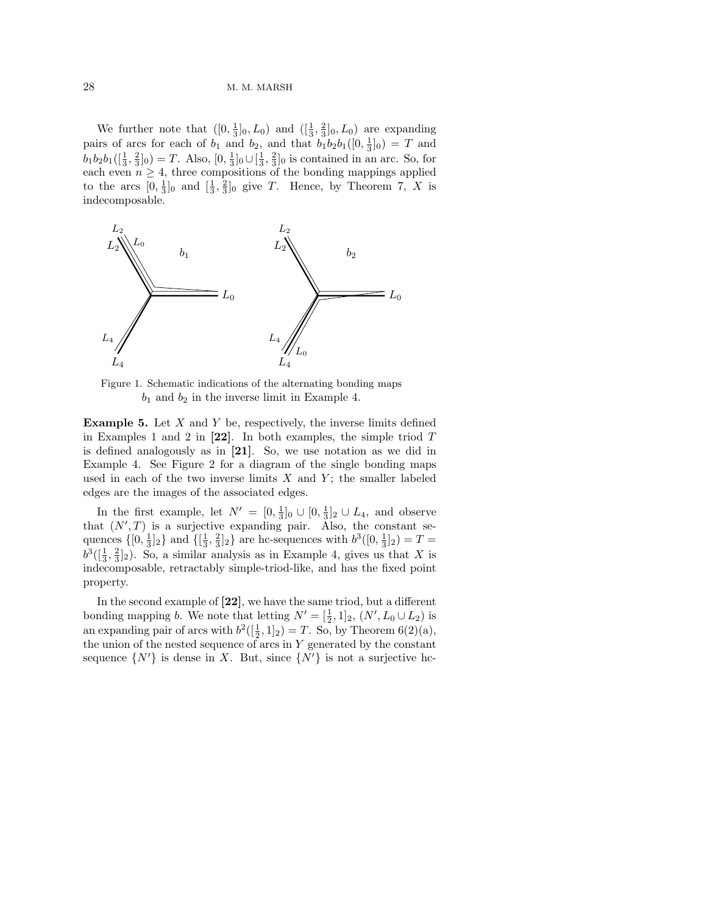We further note that  $([0, \frac{1}{3}]_0, L_0)$  and  $([\frac{1}{3}, \frac{2}{3}]_0, L_0)$  are expanding pairs of arcs for each of  $b_1$  and  $b_2$ , and that  $b_1b_2b_1([0, \frac{1}{3}]_0) = T$  and  $b_1b_2b_1([\frac{1}{3}, \frac{2}{3}]_0) = T$ . Also,  $[0, \frac{1}{3}]_0 \cup [\frac{1}{3}, \frac{2}{3}]_0$  is contained in an arc. So, for each even  $n \geq 4$ , three compositions of the bonding mappings applied to the arcs  $[0, \frac{1}{3}]_0$  and  $[\frac{1}{3}, \frac{2}{3}]_0$  give T. Hence, by Theorem 7, X is indecomposable.



Figure 1. Schematic indications of the alternating bonding maps  $b_1$  and  $b_2$  in the inverse limit in Example 4.

**Example 5.** Let  $X$  and  $Y$  be, respectively, the inverse limits defined in Examples 1 and 2 in  $[22]$ . In both examples, the simple triod  $T$ is defined analogously as in [21]. So, we use notation as we did in Example 4. See Figure 2 for a diagram of the single bonding maps used in each of the two inverse limits  $X$  and  $Y$ ; the smaller labeled edges are the images of the associated edges.

In the first example, let  $N' = [0, \frac{1}{3}]_0 \cup [0, \frac{1}{3}]_2 \cup L_4$ , and observe that  $(N',T)$  is a surjective expanding pair. Also, the constant sequences  $\{[0, \frac{1}{3}]_2\}$  and  $\{[\frac{1}{3}, \frac{2}{3}]_2\}$  are hc-sequences with  $b^3([0, \frac{1}{3}]_2) = T =$  $b^3([\frac{1}{3}, \frac{2}{3}]_2)$ . So, a similar analysis as in Example 4, gives us that X is indecomposable, retractably simple-triod-like, and has the fixed point property.

In the second example of [22], we have the same triod, but a different bonding mapping b. We note that letting  $N' = [\frac{1}{2}, 1]_2$ ,  $(N', L_0 \cup L_2)$  is an expanding pair of arcs with  $b^2([\frac{1}{2}, 1]_2) = T$ . So, by Theorem 6(2)(a), the union of the nested sequence of arcs in  $Y$  generated by the constant sequence  $\{N'\}\$ is dense in X. But, since  $\{N'\}\$ is not a surjective hc-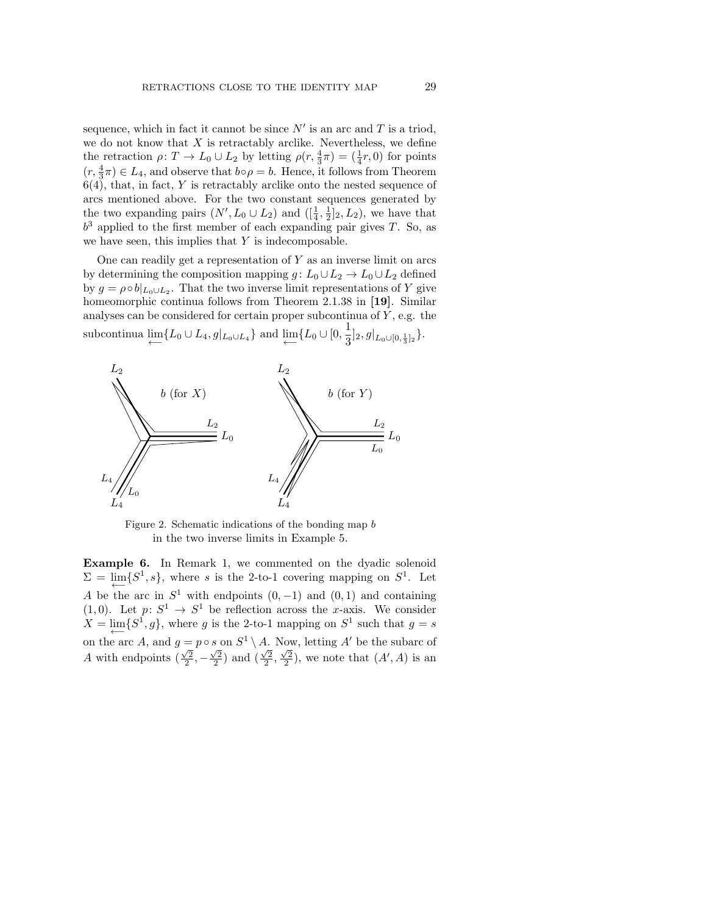sequence, which in fact it cannot be since  $N'$  is an arc and T is a triod, we do not know that  $X$  is retractably arclike. Nevertheless, we define the retraction  $\rho: T \to L_0 \cup L_2$  by letting  $\rho(r, \frac{4}{3}\pi) = (\frac{1}{4}r, 0)$  for points  $(r, \frac{4}{3}\pi) \in L_4$ , and observe that  $b \circ \rho = b$ . Hence, it follows from Theorem  $6(4)$ , that, in fact, Y is retractably arclike onto the nested sequence of arcs mentioned above. For the two constant sequences generated by the two expanding pairs  $(N', L_0 \cup L_2)$  and  $([\frac{1}{4}, \frac{1}{2}]_2, L_2)$ , we have that  $b<sup>3</sup>$  applied to the first member of each expanding pair gives T. So, as we have seen, this implies that  $Y$  is indecomposable.

One can readily get a representation of  $Y$  as an inverse limit on arcs by determining the composition mapping  $g: L_0 \cup L_2 \to L_0 \cup L_2$  defined by  $g = \rho \circ b|_{L_0 \cup L_2}$ . That the two inverse limit representations of Y give homeomorphic continua follows from Theorem 2.1.38 in [19]. Similar analyses can be considered for certain proper subcontinua of  $Y$ , e.g. the subcontinua  $\lim_{\longleftarrow}$ {L<sub>0</sub> ∪ L<sub>4</sub>, g|<sub>L<sub>0</sub>∪L<sub>4</sub></sub>} and  $\lim_{\longleftarrow}$ {L<sub>0</sub> ∪ [0,  $\frac{1}{3}$ ]  $\frac{1}{3}]_2, g|_{L_0\cup[0,\frac{1}{3}]_2}\}.$ 



Figure 2. Schematic indications of the bonding map b in the two inverse limits in Example 5.

Example 6. In Remark 1, we commented on the dyadic solenoid  $\Sigma = \lim_{\longleftarrow} \{S^1, s\},\$  where s is the 2-to-1 covering mapping on  $S^1$ . Let A be the arc in  $S^1$  with endpoints  $(0, -1)$  and  $(0, 1)$  and containing  $(1,0)$ . Let  $p: S^1 \to S^1$  be reflection across the x-axis. We consider  $X = \lim_{\longleftarrow} \{S^1, g\}$ , where g is the 2-to-1 mapping on  $S^1$  such that  $g = s$ on the arc A, and  $g = p \circ s$  on  $S^1 \setminus A$ . Now, letting A' be the subarc of A with endpoints  $(\frac{\sqrt{2}}{2}, -\frac{\sqrt{2}}{2})$  and  $(\frac{\sqrt{2}}{2}, \frac{\sqrt{2}}{2})$ , we note that  $(A', A)$  is an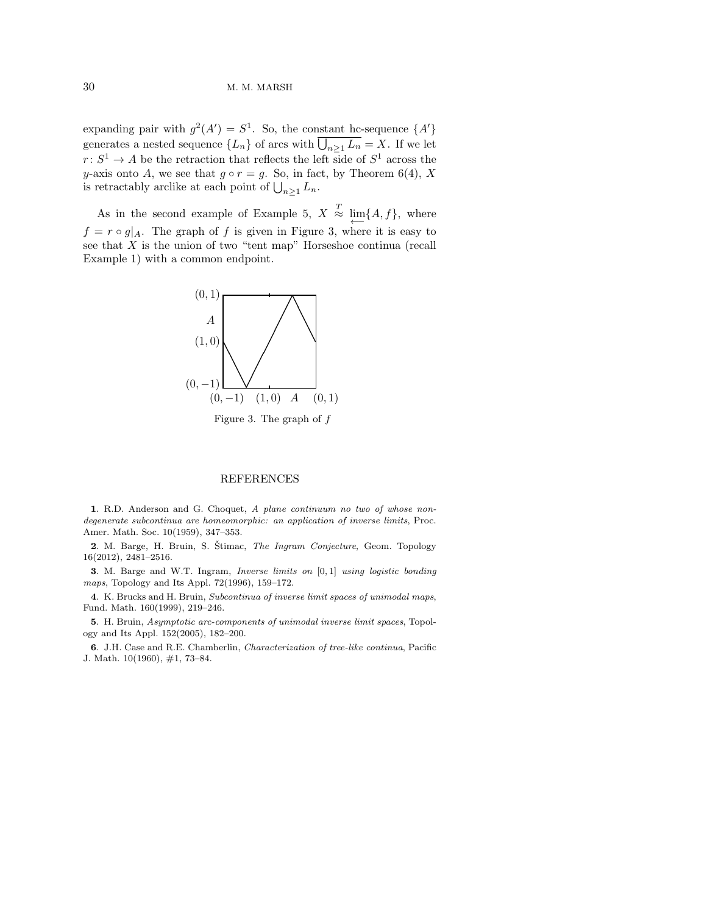expanding pair with  $g^2(A') = S^1$ . So, the constant hc-sequence  $\{A'\}$ generates a nested sequence  $\{L_n\}$  of arcs with  $\bigcup_{n\geq 1} L_n = X$ . If we let  $r: S^1 \to A$  be the retraction that reflects the left side of  $S^1$  across the y-axis onto A, we see that  $g \circ r = g$ . So, in fact, by Theorem 6(4), X is retractably arclike at each point of  $\bigcup_{n\geq 1} L_n$ .

As in the second example of Example 5,  $X \stackrel{T}{\approx} \varprojlim \{A, f\}$ , where  $f = r \circ g|_A$ . The graph of f is given in Figure 3, where it is easy to see that  $X$  is the union of two "tent map" Horseshoe continua (recall Example 1) with a common endpoint.



## **REFERENCES**

1. R.D. Anderson and G. Choquet, A plane continuum no two of whose nondegenerate subcontinua are homeomorphic: an application of inverse limits, Proc. Amer. Math. Soc. 10(1959), 347–353.

2. M. Barge, H. Bruin, S. Štimac, The Ingram Conjecture, Geom. Topology 16(2012), 2481–2516.

3. M. Barge and W.T. Ingram, Inverse limits on [0, 1] using logistic bonding maps, Topology and Its Appl. 72(1996), 159–172.

4. K. Brucks and H. Bruin, Subcontinua of inverse limit spaces of unimodal maps, Fund. Math. 160(1999), 219–246.

5. H. Bruin, Asymptotic arc-components of unimodal inverse limit spaces, Topology and Its Appl. 152(2005), 182–200.

6. J.H. Case and R.E. Chamberlin, Characterization of tree-like continua, Pacific J. Math. 10(1960), #1, 73–84.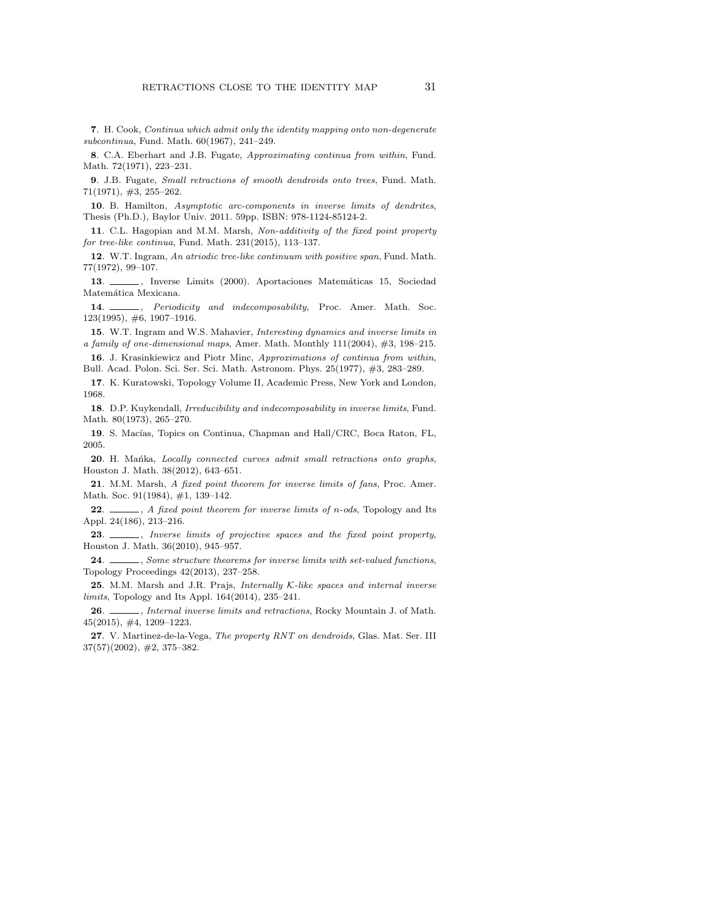7. H. Cook, Continua which admit only the identity mapping onto non-degenerate subcontinua, Fund. Math. 60(1967), 241–249.

8. C.A. Eberhart and J.B. Fugate, Approximating continua from within, Fund. Math. 72(1971), 223–231.

9. J.B. Fugate, Small retractions of smooth dendroids onto trees, Fund. Math. 71(1971), #3, 255–262.

10. B. Hamilton, Asymptotic arc-components in inverse limits of dendrites, Thesis (Ph.D.), Baylor Univ. 2011. 59pp. ISBN: 978-1124-85124-2.

11. C.L. Hagopian and M.M. Marsh, Non-additivity of the fixed point property for tree-like continua, Fund. Math. 231(2015), 113–137.

12. W.T. Ingram, An atriodic tree-like continuum with positive span, Fund. Math. 77(1972), 99–107.

13.  $\frac{1}{2000}$ , Inverse Limits (2000). Aportaciones Matemáticas 15, Sociedad Matemática Mexicana.

14.  $\_\_\_\_\_\$ n. Periodicity and indecomposability, Proc. Amer. Math. Soc. 123(1995), #6, 1907–1916.

15. W.T. Ingram and W.S. Mahavier, Interesting dynamics and inverse limits in a family of one-dimensional maps, Amer. Math. Monthly 111(2004), #3, 198–215.

16. J. Krasinkiewicz and Piotr Minc, Approximations of continua from within, Bull. Acad. Polon. Sci. Ser. Sci. Math. Astronom. Phys. 25(1977), #3, 283–289.

17. K. Kuratowski, Topology Volume II, Academic Press, New York and London, 1968.

18. D.P. Kuykendall, Irreducibility and indecomposability in inverse limits, Fund. Math. 80(1973), 265–270.

19. S. Macías, Topics on Continua, Chapman and Hall/CRC, Boca Raton, FL, 2005.

20. H. Mańka, Locally connected curves admit small retractions onto graphs, Houston J. Math. 38(2012), 643–651.

21. M.M. Marsh, A fixed point theorem for inverse limits of fans, Proc. Amer. Math. Soc. 91(1984), #1, 139–142.

22.  $\_\_\_\_\$ , A fixed point theorem for inverse limits of n-ods, Topology and Its Appl. 24(186), 213–216.

23. \_\_\_\_, Inverse limits of projective spaces and the fixed point property, Houston J. Math. 36(2010), 945–957.

24. Some structure theorems for inverse limits with set-valued functions, Topology Proceedings 42(2013), 237–258.

25. M.M. Marsh and J.R. Prajs, Internally K-like spaces and internal inverse limits, Topology and Its Appl. 164(2014), 235–241.

26. *Internal inverse limits and retractions*, Rocky Mountain J. of Math. 45(2015), #4, 1209–1223.

27. V. Martinez-de-la-Vega, The property RNT on dendroids, Glas. Mat. Ser. III 37(57)(2002), #2, 375–382.